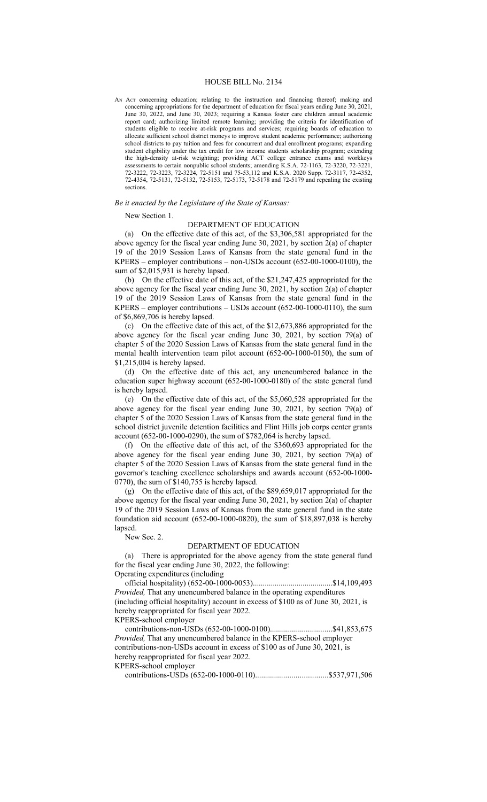#### HOUSE BILL No. 2134

AN Act concerning education; relating to the instruction and financing thereof; making and concerning appropriations for the department of education for fiscal years ending June 30, 2021, June 30, 2022, and June 30, 2023; requiring a Kansas foster care children annual academic report card; authorizing limited remote learning; providing the criteria for identification of students eligible to receive at-risk programs and services; requiring boards of education to allocate sufficient school district moneys to improve student academic performance; authorizing school districts to pay tuition and fees for concurrent and dual enrollment programs; expanding student eligibility under the tax credit for low income students scholarship program; extending the high-density at-risk weighting; providing ACT college entrance exams and workkeys assessments to certain nonpublic school students; amending K.S.A. 72-1163, 72-3220, 72-3221, 72-3222, 72-3223, 72-3224, 72-5151 and 75-53,112 and K.S.A. 2020 Supp. 72-3117, 72-4352, 72-4354, 72-5131, 72-5132, 72-5153, 72-5173, 72-5178 and 72-5179 and repealing the existing sections.

### *Be it enacted by the Legislature of the State of Kansas:*

New Section 1.

# DEPARTMENT OF EDUCATION

(a) On the effective date of this act, of the \$3,306,581 appropriated for the above agency for the fiscal year ending June 30, 2021, by section 2(a) of chapter 19 of the 2019 Session Laws of Kansas from the state general fund in the KPERS – employer contributions – non-USDs account (652-00-1000-0100), the sum of \$2,015,931 is hereby lapsed.

(b) On the effective date of this act, of the \$21,247,425 appropriated for the above agency for the fiscal year ending June 30, 2021, by section 2(a) of chapter 19 of the 2019 Session Laws of Kansas from the state general fund in the KPERS – employer contributions – USDs account (652-00-1000-0110), the sum of \$6,869,706 is hereby lapsed.

(c) On the effective date of this act, of the \$12,673,886 appropriated for the above agency for the fiscal year ending June 30, 2021, by section 79(a) of chapter 5 of the 2020 Session Laws of Kansas from the state general fund in the mental health intervention team pilot account (652-00-1000-0150), the sum of \$1,215,004 is hereby lapsed.

(d) On the effective date of this act, any unencumbered balance in the education super highway account (652-00-1000-0180) of the state general fund is hereby lapsed.

(e) On the effective date of this act, of the \$5,060,528 appropriated for the above agency for the fiscal year ending June 30, 2021, by section 79(a) of chapter 5 of the 2020 Session Laws of Kansas from the state general fund in the school district juvenile detention facilities and Flint Hills job corps center grants account (652-00-1000-0290), the sum of \$782,064 is hereby lapsed.

(f) On the effective date of this act, of the \$360,693 appropriated for the above agency for the fiscal year ending June 30, 2021, by section 79(a) of chapter 5 of the 2020 Session Laws of Kansas from the state general fund in the governor's teaching excellence scholarships and awards account (652-00-1000- 0770), the sum of \$140,755 is hereby lapsed.

(g) On the effective date of this act, of the \$89,659,017 appropriated for the above agency for the fiscal year ending June 30, 2021, by section 2(a) of chapter 19 of the 2019 Session Laws of Kansas from the state general fund in the state foundation aid account (652-00-1000-0820), the sum of \$18,897,038 is hereby lapsed.

New Sec. 2.

# DEPARTMENT OF EDUCATION

(a) There is appropriated for the above agency from the state general fund for the fiscal year ending June 30, 2022, the following:

Operating expenditures (including

official hospitality) (652-00-1000-0053)........................................\$14,109,493 *Provided,* That any unencumbered balance in the operating expenditures

(including official hospitality) account in excess of \$100 as of June 30, 2021, is hereby reappropriated for fiscal year 2022.

KPERS-school employer

contributions-non-USDs (652-00-1000-0100)...............................\$41,853,675 *Provided,* That any unencumbered balance in the KPERS-school employer contributions-non-USDs account in excess of \$100 as of June 30, 2021, is hereby reappropriated for fiscal year 2022.

KPERS-school employer

contributions-USDs (652-00-1000-0110)....................................\$537,971,506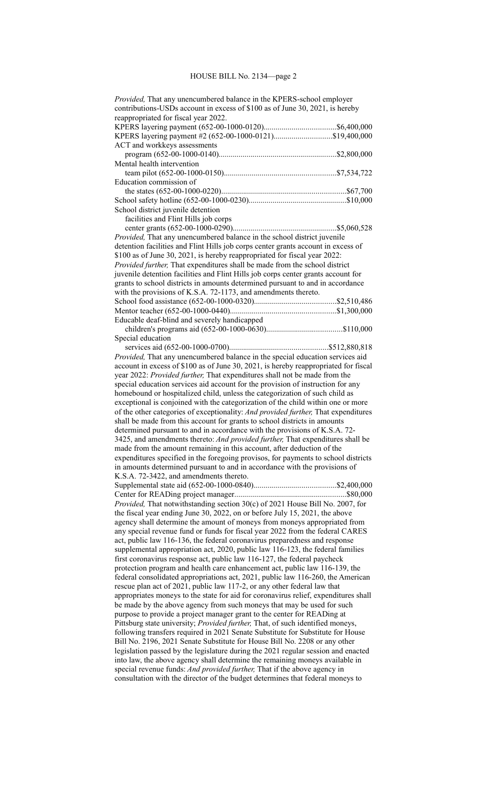| Provided, That any unencumbered balance in the KPERS-school employer<br>contributions-USDs account in excess of \$100 as of June 30, 2021, is hereby<br>reappropriated for fiscal year 2022. |  |  |
|----------------------------------------------------------------------------------------------------------------------------------------------------------------------------------------------|--|--|
|                                                                                                                                                                                              |  |  |
|                                                                                                                                                                                              |  |  |
| KPERS layering payment #2 (652-00-1000-0121)\$19,400,000                                                                                                                                     |  |  |
| ACT and workkeys assessments                                                                                                                                                                 |  |  |
|                                                                                                                                                                                              |  |  |
| Mental health intervention                                                                                                                                                                   |  |  |
|                                                                                                                                                                                              |  |  |
| Education commission of                                                                                                                                                                      |  |  |
|                                                                                                                                                                                              |  |  |
|                                                                                                                                                                                              |  |  |
| School district juvenile detention                                                                                                                                                           |  |  |
| facilities and Flint Hills job corps                                                                                                                                                         |  |  |
|                                                                                                                                                                                              |  |  |
| Provided, That any unencumbered balance in the school district juvenile                                                                                                                      |  |  |
| detention facilities and Flint Hills job corps center grants account in excess of                                                                                                            |  |  |
|                                                                                                                                                                                              |  |  |
| \$100 as of June 30, 2021, is hereby reappropriated for fiscal year 2022:                                                                                                                    |  |  |
| Provided further, That expenditures shall be made from the school district                                                                                                                   |  |  |
| juvenile detention facilities and Flint Hills job corps center grants account for                                                                                                            |  |  |
| grants to school districts in amounts determined pursuant to and in accordance                                                                                                               |  |  |
| with the provisions of K.S.A. 72-1173, and amendments thereto.                                                                                                                               |  |  |
|                                                                                                                                                                                              |  |  |
|                                                                                                                                                                                              |  |  |
| Educable deaf-blind and severely handicapped                                                                                                                                                 |  |  |
|                                                                                                                                                                                              |  |  |
| Special education                                                                                                                                                                            |  |  |
|                                                                                                                                                                                              |  |  |
| Provided, That any unencumbered balance in the special education services aid                                                                                                                |  |  |
| account in excess of \$100 as of June 30, 2021, is hereby reappropriated for fiscal                                                                                                          |  |  |
| year 2022: Provided further, That expenditures shall not be made from the                                                                                                                    |  |  |
| special education services aid account for the provision of instruction for any                                                                                                              |  |  |
| homebound or hospitalized child, unless the categorization of such child as                                                                                                                  |  |  |
| exceptional is conjoined with the categorization of the child within one or more                                                                                                             |  |  |
| of the other categories of exceptionality: And provided further, That expenditures                                                                                                           |  |  |
| shall be made from this account for grants to school districts in amounts                                                                                                                    |  |  |
| determined pursuant to and in accordance with the provisions of K.S.A. 72-                                                                                                                   |  |  |
| 3425, and amendments thereto: And provided further, That expenditures shall be                                                                                                               |  |  |
|                                                                                                                                                                                              |  |  |
| made from the amount remaining in this account, after deduction of the                                                                                                                       |  |  |
| expenditures specified in the foregoing provisos, for payments to school districts                                                                                                           |  |  |
| in amounts determined pursuant to and in accordance with the provisions of                                                                                                                   |  |  |
| K.S.A. 72-3422, and amendments thereto.                                                                                                                                                      |  |  |
|                                                                                                                                                                                              |  |  |
|                                                                                                                                                                                              |  |  |
| Provided, That notwithstanding section 30(c) of 2021 House Bill No. 2007, for                                                                                                                |  |  |
| the fiscal year ending June 30, 2022, on or before July 15, 2021, the above                                                                                                                  |  |  |
| agency shall determine the amount of moneys from moneys appropriated from                                                                                                                    |  |  |
| any special revenue fund or funds for fiscal year 2022 from the federal CARES                                                                                                                |  |  |
| act, public law 116-136, the federal coronavirus preparedness and response                                                                                                                   |  |  |
| supplemental appropriation act, 2020, public law 116-123, the federal families                                                                                                               |  |  |
| first coronavirus response act, public law 116-127, the federal paycheck                                                                                                                     |  |  |
| protection program and health care enhancement act, public law 116-139, the                                                                                                                  |  |  |
| federal consolidated appropriations act, 2021, public law 116-260, the American                                                                                                              |  |  |
| rescue plan act of 2021, public law 117-2, or any other federal law that                                                                                                                     |  |  |
| appropriates moneys to the state for aid for coronavirus relief, expenditures shall                                                                                                          |  |  |
| be made by the above agency from such moneys that may be used for such                                                                                                                       |  |  |
| purpose to provide a project manager grant to the center for READing at                                                                                                                      |  |  |
| Pittsburg state university; Provided further, That, of such identified moneys,                                                                                                               |  |  |
|                                                                                                                                                                                              |  |  |
| following transfers required in 2021 Senate Substitute for Substitute for House                                                                                                              |  |  |
| Bill No. 2196, 2021 Senate Substitute for House Bill No. 2208 or any other                                                                                                                   |  |  |
| legislation passed by the legislature during the 2021 regular session and enacted                                                                                                            |  |  |
| into law, the above agency shall determine the remaining moneys available in                                                                                                                 |  |  |
| special revenue funds: And provided further, That if the above agency in                                                                                                                     |  |  |
| consultation with the director of the budget determines that federal moneys to                                                                                                               |  |  |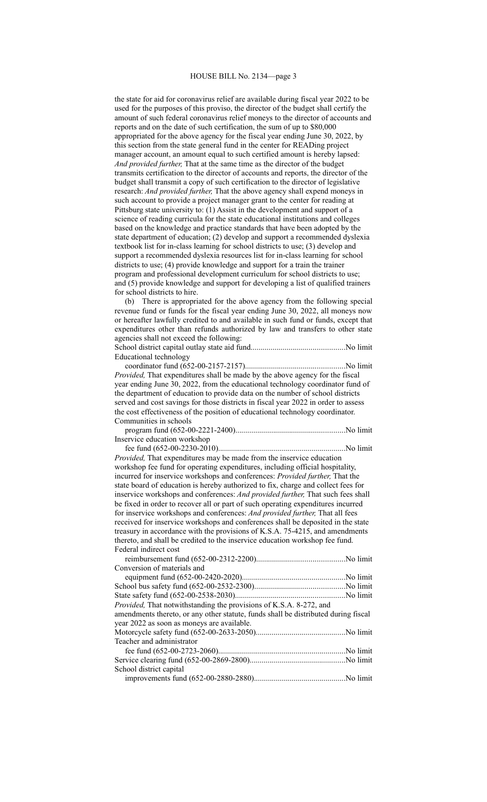the state for aid for coronavirus relief are available during fiscal year 2022 to be used for the purposes of this proviso, the director of the budget shall certify the amount of such federal coronavirus relief moneys to the director of accounts and reports and on the date of such certification, the sum of up to \$80,000 appropriated for the above agency for the fiscal year ending June 30, 2022, by this section from the state general fund in the center for READing project manager account, an amount equal to such certified amount is hereby lapsed: *And provided further,* That at the same time as the director of the budget transmits certification to the director of accounts and reports, the director of the budget shall transmit a copy of such certification to the director of legislative research: *And provided further,* That the above agency shall expend moneys in such account to provide a project manager grant to the center for reading at Pittsburg state university to: (1) Assist in the development and support of a science of reading curricula for the state educational institutions and colleges based on the knowledge and practice standards that have been adopted by the state department of education; (2) develop and support a recommended dyslexia textbook list for in-class learning for school districts to use; (3) develop and support a recommended dyslexia resources list for in-class learning for school districts to use; (4) provide knowledge and support for a train the trainer program and professional development curriculum for school districts to use; and (5) provide knowledge and support for developing a list of qualified trainers for school districts to hire.

(b) There is appropriated for the above agency from the following special revenue fund or funds for the fiscal year ending June 30, 2022, all moneys now or hereafter lawfully credited to and available in such fund or funds, except that expenditures other than refunds authorized by law and transfers to other state agencies shall not exceed the following: School district capital outlay state aid fund...............................................No limit Educational technology coordinator fund (652-00-2157-2157)..................................................No limit *Provided,* That expenditures shall be made by the above agency for the fiscal year ending June 30, 2022, from the educational technology coordinator fund of the department of education to provide data on the number of school districts served and cost savings for those districts in fiscal year 2022 in order to assess the cost effectiveness of the position of educational technology coordinator. Communities in schools program fund (652-00-2221-2400).......................................................No limit Inservice education workshop fee fund (652-00-2230-2010)................................................................No limit *Provided,* That expenditures may be made from the inservice education workshop fee fund for operating expenditures, including official hospitality, incurred for inservice workshops and conferences: *Provided further,* That the state board of education is hereby authorized to fix, charge and collect fees for inservice workshops and conferences: *And provided further,* That such fees shall be fixed in order to recover all or part of such operating expenditures incurred for inservice workshops and conferences: *And provided further,* That all fees received for inservice workshops and conferences shall be deposited in the state treasury in accordance with the provisions of K.S.A. 75-4215, and amendments thereto, and shall be credited to the inservice education workshop fee fund. Federal indirect cost reimbursement fund (652-00-2312-2200)............................................No limit Conversion of materials and equipment fund (652-00-2420-2020)....................................................No limit School bus safety fund (652-00-2532-2300).............................................No limit State safety fund (652-00-2538-2030).......................................................No limit *Provided,* That notwithstanding the provisions of K.S.A. 8-272, and amendments thereto, or any other statute, funds shall be distributed during fiscal year 2022 as soon as moneys are available. Motorcycle safety fund (652-00-2633-2050).............................................No limit Teacher and administrator fee fund (652-00-2723-2060)................................................................No limit Service clearing fund (652-00-2869-2800)................................................No limit

School district capital improvements fund (652-00-2880-2880)..............................................No limit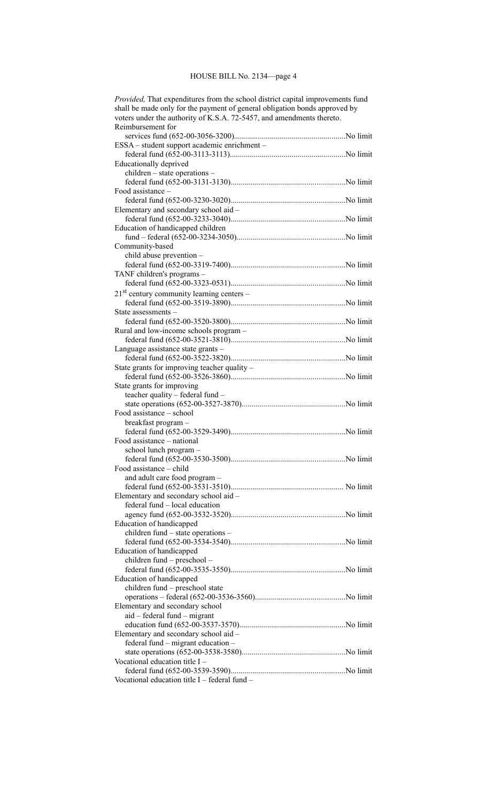# HOUSE BILL No. 2134—page 4

| Provided, That expenditures from the school district capital improvements fund |  |  |
|--------------------------------------------------------------------------------|--|--|
| shall be made only for the payment of general obligation bonds approved by     |  |  |
| voters under the authority of K.S.A. 72-5457, and amendments thereto.          |  |  |
| Reimbursement for                                                              |  |  |
|                                                                                |  |  |
| ESSA – student support academic enrichment –                                   |  |  |
|                                                                                |  |  |
| Educationally deprived                                                         |  |  |
| children – state operations –                                                  |  |  |
|                                                                                |  |  |
| Food assistance -                                                              |  |  |
|                                                                                |  |  |
| Elementary and secondary school aid -                                          |  |  |
|                                                                                |  |  |
| Education of handicapped children                                              |  |  |
|                                                                                |  |  |
| Community-based                                                                |  |  |
| child abuse prevention -                                                       |  |  |
|                                                                                |  |  |
| TANF children's programs -                                                     |  |  |
|                                                                                |  |  |
| $21st$ century community learning centers –                                    |  |  |
|                                                                                |  |  |
| State assessments –                                                            |  |  |
|                                                                                |  |  |
| Rural and low-income schools program -                                         |  |  |
|                                                                                |  |  |
| Language assistance state grants -                                             |  |  |
|                                                                                |  |  |
| State grants for improving teacher quality –                                   |  |  |
|                                                                                |  |  |
| State grants for improving                                                     |  |  |
| teacher quality - federal fund -                                               |  |  |
|                                                                                |  |  |
| Food assistance - school                                                       |  |  |
| breakfast program -                                                            |  |  |
|                                                                                |  |  |
| Food assistance - national                                                     |  |  |
| school lunch program -                                                         |  |  |
|                                                                                |  |  |
| Food assistance - child                                                        |  |  |
| and adult care food program -                                                  |  |  |
|                                                                                |  |  |
| Elementary and secondary school aid -                                          |  |  |
| federal fund - local education                                                 |  |  |
|                                                                                |  |  |
| Education of handicapped                                                       |  |  |
| children fund – state operations –                                             |  |  |
|                                                                                |  |  |
| Education of handicapped                                                       |  |  |
| children fund – preschool –                                                    |  |  |
|                                                                                |  |  |
| Education of handicapped                                                       |  |  |
| children fund – preschool state                                                |  |  |
|                                                                                |  |  |
| Elementary and secondary school                                                |  |  |
| $aid - federal fund - migrant$                                                 |  |  |
|                                                                                |  |  |
| Elementary and secondary school aid -                                          |  |  |
| federal fund – migrant education –                                             |  |  |
|                                                                                |  |  |
| Vocational education title I -                                                 |  |  |
|                                                                                |  |  |
| Vocational education title I – federal fund –                                  |  |  |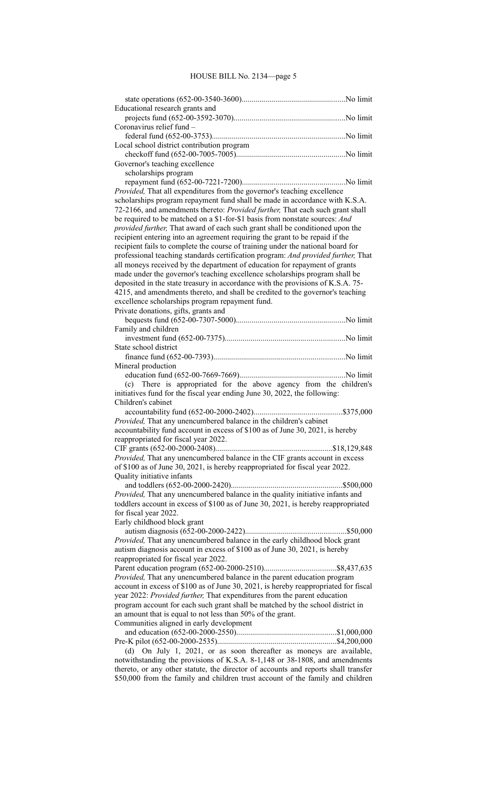# HOUSE BILL No. 2134—page 5

| Educational research grants and                                                                                                                           |  |
|-----------------------------------------------------------------------------------------------------------------------------------------------------------|--|
|                                                                                                                                                           |  |
| Coronavirus relief fund -                                                                                                                                 |  |
|                                                                                                                                                           |  |
| Local school district contribution program                                                                                                                |  |
|                                                                                                                                                           |  |
| Governor's teaching excellence                                                                                                                            |  |
| scholarships program                                                                                                                                      |  |
|                                                                                                                                                           |  |
| Provided, That all expenditures from the governor's teaching excellence                                                                                   |  |
| scholarships program repayment fund shall be made in accordance with K.S.A.                                                                               |  |
| 72-2166, and amendments thereto: Provided further, That each such grant shall                                                                             |  |
| be required to be matched on a \$1-for-\$1 basis from nonstate sources: And                                                                               |  |
| provided further, That award of each such grant shall be conditioned upon the                                                                             |  |
| recipient entering into an agreement requiring the grant to be repaid if the                                                                              |  |
| recipient fails to complete the course of training under the national board for                                                                           |  |
| professional teaching standards certification program: And provided further, That                                                                         |  |
| all moneys received by the department of education for repayment of grants<br>made under the governor's teaching excellence scholarships program shall be |  |
| deposited in the state treasury in accordance with the provisions of K.S.A. 75-                                                                           |  |
| 4215, and amendments thereto, and shall be credited to the governor's teaching                                                                            |  |
| excellence scholarships program repayment fund.                                                                                                           |  |
| Private donations, gifts, grants and                                                                                                                      |  |
|                                                                                                                                                           |  |
| Family and children                                                                                                                                       |  |
|                                                                                                                                                           |  |
| State school district                                                                                                                                     |  |
|                                                                                                                                                           |  |
| Mineral production                                                                                                                                        |  |
|                                                                                                                                                           |  |
| (c) There is appropriated for the above agency from the children's                                                                                        |  |
| initiatives fund for the fiscal year ending June 30, 2022, the following:                                                                                 |  |
| Children's cabinet                                                                                                                                        |  |
|                                                                                                                                                           |  |
| Provided, That any unencumbered balance in the children's cabinet                                                                                         |  |
| accountability fund account in excess of \$100 as of June 30, 2021, is hereby                                                                             |  |
| reappropriated for fiscal year 2022.                                                                                                                      |  |
|                                                                                                                                                           |  |
| Provided, That any unencumbered balance in the CIF grants account in excess                                                                               |  |
| of \$100 as of June 30, 2021, is hereby reappropriated for fiscal year 2022.                                                                              |  |
| Quality initiative infants                                                                                                                                |  |
|                                                                                                                                                           |  |
| Provided, That any unencumbered balance in the quality initiative infants and                                                                             |  |
| toddlers account in excess of \$100 as of June 30, 2021, is hereby reappropriated<br>for fiscal year 2022.                                                |  |
| Early childhood block grant                                                                                                                               |  |
|                                                                                                                                                           |  |
| Provided, That any unencumbered balance in the early childhood block grant                                                                                |  |
| autism diagnosis account in excess of \$100 as of June 30, 2021, is hereby                                                                                |  |
| reappropriated for fiscal year 2022.                                                                                                                      |  |
|                                                                                                                                                           |  |
| Provided, That any unencumbered balance in the parent education program                                                                                   |  |
| account in excess of \$100 as of June 30, 2021, is hereby reappropriated for fiscal                                                                       |  |
| year 2022: Provided further, That expenditures from the parent education                                                                                  |  |
| program account for each such grant shall be matched by the school district in                                                                            |  |
| an amount that is equal to not less than 50% of the grant.                                                                                                |  |
| Communities aligned in early development                                                                                                                  |  |
|                                                                                                                                                           |  |
|                                                                                                                                                           |  |
| (d) On July 1, 2021, or as soon thereafter as moneys are available,                                                                                       |  |
| notwithstanding the provisions of K.S.A. 8-1,148 or 38-1808, and amendments                                                                               |  |
| thereto, or any other statute, the director of accounts and reports shall transfer                                                                        |  |
| \$50,000 from the family and children trust account of the family and children                                                                            |  |
|                                                                                                                                                           |  |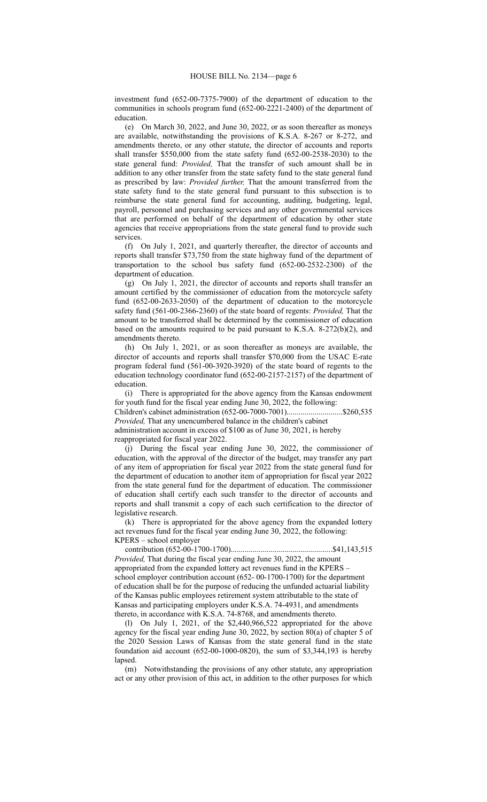investment fund (652-00-7375-7900) of the department of education to the communities in schools program fund (652-00-2221-2400) of the department of education.

(e) On March 30, 2022, and June 30, 2022, or as soon thereafter as moneys are available, notwithstanding the provisions of K.S.A. 8-267 or 8-272, and amendments thereto, or any other statute, the director of accounts and reports shall transfer \$550,000 from the state safety fund (652-00-2538-2030) to the state general fund: *Provided,* That the transfer of such amount shall be in addition to any other transfer from the state safety fund to the state general fund as prescribed by law: *Provided further,* That the amount transferred from the state safety fund to the state general fund pursuant to this subsection is to reimburse the state general fund for accounting, auditing, budgeting, legal, payroll, personnel and purchasing services and any other governmental services that are performed on behalf of the department of education by other state agencies that receive appropriations from the state general fund to provide such services.

(f) On July 1, 2021, and quarterly thereafter, the director of accounts and reports shall transfer \$73,750 from the state highway fund of the department of transportation to the school bus safety fund (652-00-2532-2300) of the department of education.

(g) On July 1, 2021, the director of accounts and reports shall transfer an amount certified by the commissioner of education from the motorcycle safety fund (652-00-2633-2050) of the department of education to the motorcycle safety fund (561-00-2366-2360) of the state board of regents: *Provided,* That the amount to be transferred shall be determined by the commissioner of education based on the amounts required to be paid pursuant to K.S.A. 8-272(b)(2), and amendments thereto.

(h) On July 1, 2021, or as soon thereafter as moneys are available, the director of accounts and reports shall transfer \$70,000 from the USAC E-rate program federal fund (561-00-3920-3920) of the state board of regents to the education technology coordinator fund (652-00-2157-2157) of the department of education.

(i) There is appropriated for the above agency from the Kansas endowment for youth fund for the fiscal year ending June 30, 2022, the following:

Children's cabinet administration (652-00-7000-7001)............................\$260,535 *Provided,* That any unencumbered balance in the children's cabinet

administration account in excess of \$100 as of June 30, 2021, is hereby

reappropriated for fiscal year 2022.

(j) During the fiscal year ending June 30, 2022, the commissioner of education, with the approval of the director of the budget, may transfer any part of any item of appropriation for fiscal year 2022 from the state general fund for the department of education to another item of appropriation for fiscal year 2022 from the state general fund for the department of education. The commissioner of education shall certify each such transfer to the director of accounts and reports and shall transmit a copy of each such certification to the director of legislative research.

(k) There is appropriated for the above agency from the expanded lottery act revenues fund for the fiscal year ending June 30, 2022, the following: KPERS – school employer

contribution (652-00-1700-1700)...................................................\$41,143,515

*Provided,* That during the fiscal year ending June 30, 2022, the amount appropriated from the expanded lottery act revenues fund in the KPERS – school employer contribution account (652- 00-1700-1700) for the department of education shall be for the purpose of reducing the unfunded actuarial liability of the Kansas public employees retirement system attributable to the state of Kansas and participating employers under K.S.A. 74-4931, and amendments thereto, in accordance with K.S.A. 74-8768, and amendments thereto.

(l) On July 1, 2021, of the \$2,440,966,522 appropriated for the above agency for the fiscal year ending June 30, 2022, by section 80(a) of chapter 5 of the 2020 Session Laws of Kansas from the state general fund in the state foundation aid account (652-00-1000-0820), the sum of \$3,344,193 is hereby lapsed.

(m) Notwithstanding the provisions of any other statute, any appropriation act or any other provision of this act, in addition to the other purposes for which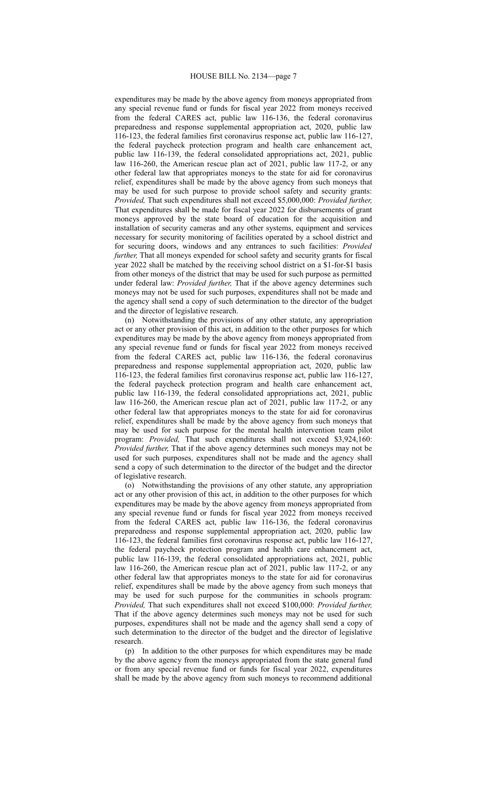expenditures may be made by the above agency from moneys appropriated from any special revenue fund or funds for fiscal year 2022 from moneys received from the federal CARES act, public law 116-136, the federal coronavirus preparedness and response supplemental appropriation act, 2020, public law 116-123, the federal families first coronavirus response act, public law 116-127, the federal paycheck protection program and health care enhancement act, public law 116-139, the federal consolidated appropriations act, 2021, public law 116-260, the American rescue plan act of 2021, public law 117-2, or any other federal law that appropriates moneys to the state for aid for coronavirus relief, expenditures shall be made by the above agency from such moneys that may be used for such purpose to provide school safety and security grants: *Provided,* That such expenditures shall not exceed \$5,000,000: *Provided further,* That expenditures shall be made for fiscal year 2022 for disbursements of grant moneys approved by the state board of education for the acquisition and installation of security cameras and any other systems, equipment and services necessary for security monitoring of facilities operated by a school district and for securing doors, windows and any entrances to such facilities: *Provided further,* That all moneys expended for school safety and security grants for fiscal year 2022 shall be matched by the receiving school district on a \$1-for-\$1 basis from other moneys of the district that may be used for such purpose as permitted under federal law: *Provided further,* That if the above agency determines such moneys may not be used for such purposes, expenditures shall not be made and the agency shall send a copy of such determination to the director of the budget and the director of legislative research.

(n) Notwithstanding the provisions of any other statute, any appropriation act or any other provision of this act, in addition to the other purposes for which expenditures may be made by the above agency from moneys appropriated from any special revenue fund or funds for fiscal year 2022 from moneys received from the federal CARES act, public law 116-136, the federal coronavirus preparedness and response supplemental appropriation act, 2020, public law 116-123, the federal families first coronavirus response act, public law 116-127, the federal paycheck protection program and health care enhancement act, public law 116-139, the federal consolidated appropriations act, 2021, public law 116-260, the American rescue plan act of 2021, public law 117-2, or any other federal law that appropriates moneys to the state for aid for coronavirus relief, expenditures shall be made by the above agency from such moneys that may be used for such purpose for the mental health intervention team pilot program: *Provided,* That such expenditures shall not exceed \$3,924,160: *Provided further,* That if the above agency determines such moneys may not be used for such purposes, expenditures shall not be made and the agency shall send a copy of such determination to the director of the budget and the director of legislative research.

(o) Notwithstanding the provisions of any other statute, any appropriation act or any other provision of this act, in addition to the other purposes for which expenditures may be made by the above agency from moneys appropriated from any special revenue fund or funds for fiscal year 2022 from moneys received from the federal CARES act, public law 116-136, the federal coronavirus preparedness and response supplemental appropriation act, 2020, public law 116-123, the federal families first coronavirus response act, public law 116-127, the federal paycheck protection program and health care enhancement act, public law 116-139, the federal consolidated appropriations act, 2021, public law 116-260, the American rescue plan act of 2021, public law 117-2, or any other federal law that appropriates moneys to the state for aid for coronavirus relief, expenditures shall be made by the above agency from such moneys that may be used for such purpose for the communities in schools program: *Provided,* That such expenditures shall not exceed \$100,000: *Provided further,* That if the above agency determines such moneys may not be used for such purposes, expenditures shall not be made and the agency shall send a copy of such determination to the director of the budget and the director of legislative research.

(p) In addition to the other purposes for which expenditures may be made by the above agency from the moneys appropriated from the state general fund or from any special revenue fund or funds for fiscal year 2022, expenditures shall be made by the above agency from such moneys to recommend additional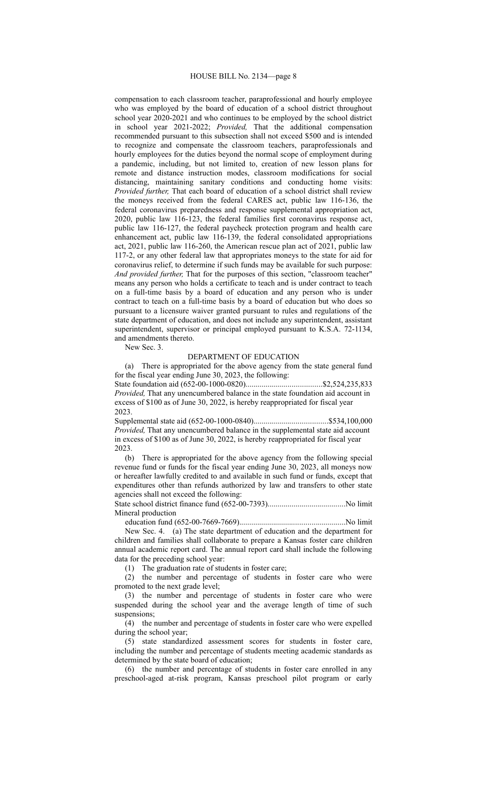### HOUSE BILL No. 2134—page 8

compensation to each classroom teacher, paraprofessional and hourly employee who was employed by the board of education of a school district throughout school year 2020-2021 and who continues to be employed by the school district in school year 2021-2022; *Provided,* That the additional compensation recommended pursuant to this subsection shall not exceed \$500 and is intended to recognize and compensate the classroom teachers, paraprofessionals and hourly employees for the duties beyond the normal scope of employment during a pandemic, including, but not limited to, creation of new lesson plans for remote and distance instruction modes, classroom modifications for social distancing, maintaining sanitary conditions and conducting home visits: *Provided further,* That each board of education of a school district shall review the moneys received from the federal CARES act, public law 116-136, the federal coronavirus preparedness and response supplemental appropriation act, 2020, public law 116-123, the federal families first coronavirus response act, public law 116-127, the federal paycheck protection program and health care enhancement act, public law 116-139, the federal consolidated appropriations act, 2021, public law 116-260, the American rescue plan act of 2021, public law 117-2, or any other federal law that appropriates moneys to the state for aid for coronavirus relief, to determine if such funds may be available for such purpose: *And provided further,* That for the purposes of this section, "classroom teacher" means any person who holds a certificate to teach and is under contract to teach on a full-time basis by a board of education and any person who is under contract to teach on a full-time basis by a board of education but who does so pursuant to a licensure waiver granted pursuant to rules and regulations of the state department of education, and does not include any superintendent, assistant superintendent, supervisor or principal employed pursuant to K.S.A. 72-1134, and amendments thereto.

New Sec. 3.

# DEPARTMENT OF EDUCATION

(a) There is appropriated for the above agency from the state general fund for the fiscal year ending June 30, 2023, the following:

State foundation aid (652-00-1000-0820)......................................\$2,524,235,833 *Provided,* That any unencumbered balance in the state foundation aid account in excess of \$100 as of June 30, 2022, is hereby reappropriated for fiscal year 2023.

Supplemental state aid (652-00-1000-0840).....................................\$534,100,000 *Provided,* That any unencumbered balance in the supplemental state aid account in excess of \$100 as of June 30, 2022, is hereby reappropriated for fiscal year 2023.

(b) There is appropriated for the above agency from the following special revenue fund or funds for the fiscal year ending June 30, 2023, all moneys now or hereafter lawfully credited to and available in such fund or funds, except that expenditures other than refunds authorized by law and transfers to other state agencies shall not exceed the following:

State school district finance fund (652-00-7393).......................................No limit Mineral production

education fund (652-00-7669-7669).....................................................No limit

New Sec. 4. (a) The state department of education and the department for children and families shall collaborate to prepare a Kansas foster care children annual academic report card. The annual report card shall include the following data for the preceding school year:

(1) The graduation rate of students in foster care;

(2) the number and percentage of students in foster care who were promoted to the next grade level;

(3) the number and percentage of students in foster care who were suspended during the school year and the average length of time of such suspensions;

(4) the number and percentage of students in foster care who were expelled during the school year;

(5) state standardized assessment scores for students in foster care, including the number and percentage of students meeting academic standards as determined by the state board of education;

(6) the number and percentage of students in foster care enrolled in any preschool-aged at-risk program, Kansas preschool pilot program or early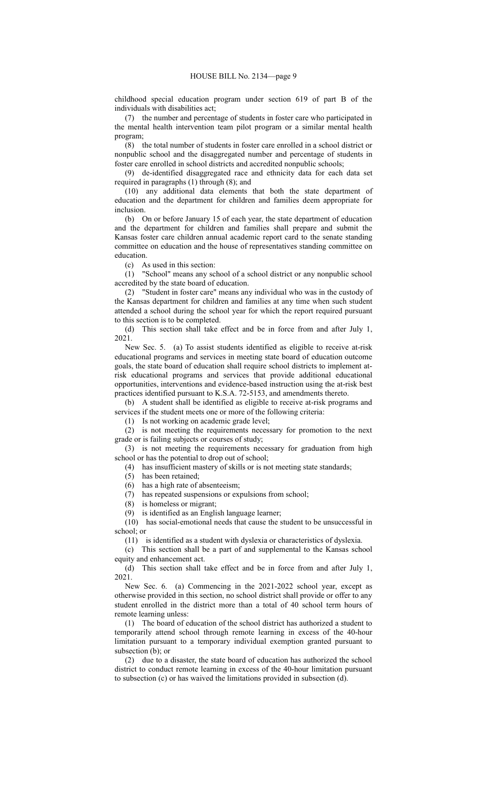childhood special education program under section 619 of part B of the individuals with disabilities act;

(7) the number and percentage of students in foster care who participated in the mental health intervention team pilot program or a similar mental health program;

(8) the total number of students in foster care enrolled in a school district or nonpublic school and the disaggregated number and percentage of students in foster care enrolled in school districts and accredited nonpublic schools;

(9) de-identified disaggregated race and ethnicity data for each data set required in paragraphs (1) through (8); and

(10) any additional data elements that both the state department of education and the department for children and families deem appropriate for inclusion.

(b) On or before January 15 of each year, the state department of education and the department for children and families shall prepare and submit the Kansas foster care children annual academic report card to the senate standing committee on education and the house of representatives standing committee on education.

(c) As used in this section:

(1) "School" means any school of a school district or any nonpublic school accredited by the state board of education.

(2) "Student in foster care" means any individual who was in the custody of the Kansas department for children and families at any time when such student attended a school during the school year for which the report required pursuant to this section is to be completed.

(d) This section shall take effect and be in force from and after July 1, 2021.

New Sec. 5. (a) To assist students identified as eligible to receive at-risk educational programs and services in meeting state board of education outcome goals, the state board of education shall require school districts to implement atrisk educational programs and services that provide additional educational opportunities, interventions and evidence-based instruction using the at-risk best practices identified pursuant to K.S.A. 72-5153, and amendments thereto.

(b) A student shall be identified as eligible to receive at-risk programs and services if the student meets one or more of the following criteria:

(1) Is not working on academic grade level;

(2) is not meeting the requirements necessary for promotion to the next grade or is failing subjects or courses of study;

(3) is not meeting the requirements necessary for graduation from high school or has the potential to drop out of school;

(4) has insufficient mastery of skills or is not meeting state standards;

(5) has been retained;

(6) has a high rate of absenteeism;

(7) has repeated suspensions or expulsions from school;

(8) is homeless or migrant;

(9) is identified as an English language learner;

(10) has social-emotional needs that cause the student to be unsuccessful in school; or

(11) is identified as a student with dyslexia or characteristics of dyslexia.

(c) This section shall be a part of and supplemental to the Kansas school equity and enhancement act.

(d) This section shall take effect and be in force from and after July 1, 2021.

New Sec. 6. (a) Commencing in the 2021-2022 school year, except as otherwise provided in this section, no school district shall provide or offer to any student enrolled in the district more than a total of 40 school term hours of remote learning unless:

(1) The board of education of the school district has authorized a student to temporarily attend school through remote learning in excess of the 40-hour limitation pursuant to a temporary individual exemption granted pursuant to subsection (b); or

(2) due to a disaster, the state board of education has authorized the school district to conduct remote learning in excess of the 40-hour limitation pursuant to subsection (c) or has waived the limitations provided in subsection (d).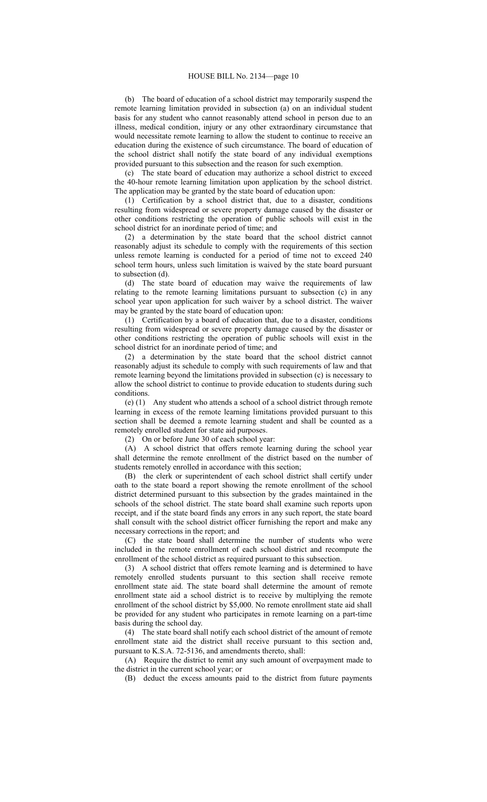(b) The board of education of a school district may temporarily suspend the remote learning limitation provided in subsection (a) on an individual student basis for any student who cannot reasonably attend school in person due to an illness, medical condition, injury or any other extraordinary circumstance that would necessitate remote learning to allow the student to continue to receive an education during the existence of such circumstance. The board of education of the school district shall notify the state board of any individual exemptions provided pursuant to this subsection and the reason for such exemption.

(c) The state board of education may authorize a school district to exceed the 40-hour remote learning limitation upon application by the school district. The application may be granted by the state board of education upon:

(1) Certification by a school district that, due to a disaster, conditions resulting from widespread or severe property damage caused by the disaster or other conditions restricting the operation of public schools will exist in the school district for an inordinate period of time; and

(2) a determination by the state board that the school district cannot reasonably adjust its schedule to comply with the requirements of this section unless remote learning is conducted for a period of time not to exceed 240 school term hours, unless such limitation is waived by the state board pursuant to subsection (d).

(d) The state board of education may waive the requirements of law relating to the remote learning limitations pursuant to subsection (c) in any school year upon application for such waiver by a school district. The waiver may be granted by the state board of education upon:

(1) Certification by a board of education that, due to a disaster, conditions resulting from widespread or severe property damage caused by the disaster or other conditions restricting the operation of public schools will exist in the school district for an inordinate period of time; and

(2) a determination by the state board that the school district cannot reasonably adjust its schedule to comply with such requirements of law and that remote learning beyond the limitations provided in subsection (c) is necessary to allow the school district to continue to provide education to students during such conditions.

(e) (1) Any student who attends a school of a school district through remote learning in excess of the remote learning limitations provided pursuant to this section shall be deemed a remote learning student and shall be counted as a remotely enrolled student for state aid purposes.

(2) On or before June 30 of each school year:

(A) A school district that offers remote learning during the school year shall determine the remote enrollment of the district based on the number of students remotely enrolled in accordance with this section;

(B) the clerk or superintendent of each school district shall certify under oath to the state board a report showing the remote enrollment of the school district determined pursuant to this subsection by the grades maintained in the schools of the school district. The state board shall examine such reports upon receipt, and if the state board finds any errors in any such report, the state board shall consult with the school district officer furnishing the report and make any necessary corrections in the report; and

(C) the state board shall determine the number of students who were included in the remote enrollment of each school district and recompute the enrollment of the school district as required pursuant to this subsection.

(3) A school district that offers remote learning and is determined to have remotely enrolled students pursuant to this section shall receive remote enrollment state aid. The state board shall determine the amount of remote enrollment state aid a school district is to receive by multiplying the remote enrollment of the school district by \$5,000. No remote enrollment state aid shall be provided for any student who participates in remote learning on a part-time basis during the school day.

(4) The state board shall notify each school district of the amount of remote enrollment state aid the district shall receive pursuant to this section and, pursuant to K.S.A. 72-5136, and amendments thereto, shall:

(A) Require the district to remit any such amount of overpayment made to the district in the current school year; or

(B) deduct the excess amounts paid to the district from future payments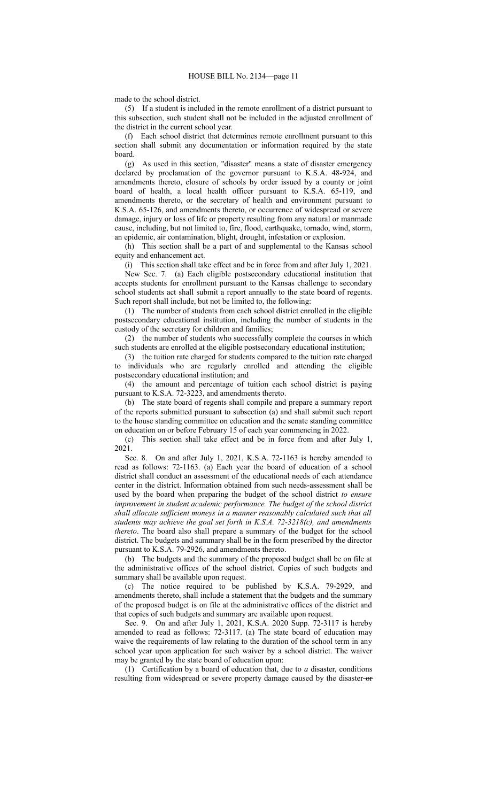#### made to the school district.

(5) If a student is included in the remote enrollment of a district pursuant to this subsection, such student shall not be included in the adjusted enrollment of the district in the current school year.

(f) Each school district that determines remote enrollment pursuant to this section shall submit any documentation or information required by the state board.

(g) As used in this section, "disaster" means a state of disaster emergency declared by proclamation of the governor pursuant to K.S.A. 48-924, and amendments thereto, closure of schools by order issued by a county or joint board of health, a local health officer pursuant to K.S.A. 65-119, and amendments thereto, or the secretary of health and environment pursuant to K.S.A. 65-126, and amendments thereto, or occurrence of widespread or severe damage, injury or loss of life or property resulting from any natural or manmade cause, including, but not limited to, fire, flood, earthquake, tornado, wind, storm, an epidemic, air contamination, blight, drought, infestation or explosion.

(h) This section shall be a part of and supplemental to the Kansas school equity and enhancement act.

(i) This section shall take effect and be in force from and after July 1, 2021.

New Sec. 7. (a) Each eligible postsecondary educational institution that accepts students for enrollment pursuant to the Kansas challenge to secondary school students act shall submit a report annually to the state board of regents. Such report shall include, but not be limited to, the following:

(1) The number of students from each school district enrolled in the eligible postsecondary educational institution, including the number of students in the custody of the secretary for children and families;

(2) the number of students who successfully complete the courses in which such students are enrolled at the eligible postsecondary educational institution;

(3) the tuition rate charged for students compared to the tuition rate charged to individuals who are regularly enrolled and attending the eligible postsecondary educational institution; and

(4) the amount and percentage of tuition each school district is paying pursuant to K.S.A. 72-3223, and amendments thereto.

(b) The state board of regents shall compile and prepare a summary report of the reports submitted pursuant to subsection (a) and shall submit such report to the house standing committee on education and the senate standing committee on education on or before February 15 of each year commencing in 2022.

(c) This section shall take effect and be in force from and after July 1, 2021.

Sec. 8. On and after July 1, 2021, K.S.A. 72-1163 is hereby amended to read as follows: 72-1163. (a) Each year the board of education of a school district shall conduct an assessment of the educational needs of each attendance center in the district. Information obtained from such needs-assessment shall be used by the board when preparing the budget of the school district *to ensure improvement in student academic performance. The budget of the school district shall allocate sufficient moneys in a manner reasonably calculated such that all students may achieve the goal set forth in K.S.A. 72-3218(c), and amendments thereto*. The board also shall prepare a summary of the budget for the school district. The budgets and summary shall be in the form prescribed by the director pursuant to K.S.A. 79-2926, and amendments thereto.

(b) The budgets and the summary of the proposed budget shall be on file at the administrative offices of the school district. Copies of such budgets and summary shall be available upon request.

(c) The notice required to be published by K.S.A. 79-2929, and amendments thereto, shall include a statement that the budgets and the summary of the proposed budget is on file at the administrative offices of the district and that copies of such budgets and summary are available upon request.

Sec. 9. On and after July 1, 2021, K.S.A. 2020 Supp. 72-3117 is hereby amended to read as follows: 72-3117. (a) The state board of education may waive the requirements of law relating to the duration of the school term in any school year upon application for such waiver by a school district. The waiver may be granted by the state board of education upon:

(1) Certification by a board of education that, due to *a* disaster, conditions resulting from widespread or severe property damage caused by the disaster-or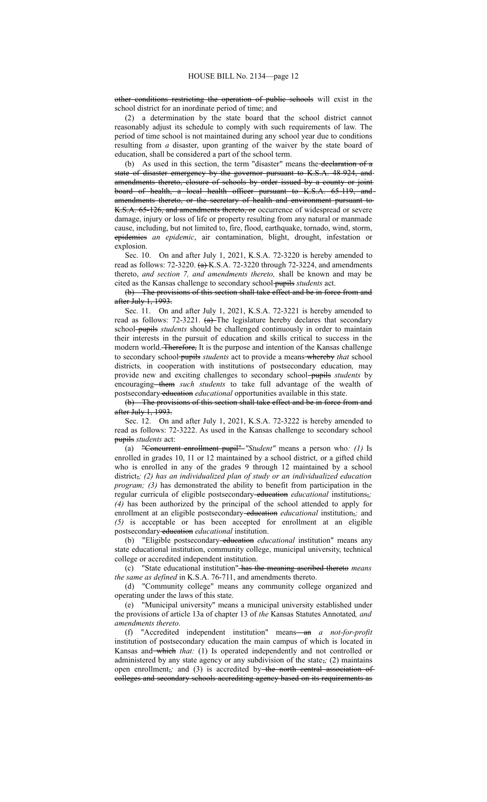other conditions restricting the operation of public schools will exist in the school district for an inordinate period of time; and

(2) a determination by the state board that the school district cannot reasonably adjust its schedule to comply with such requirements of law. The period of time school is not maintained during any school year due to conditions resulting from *a* disaster, upon granting of the waiver by the state board of education, shall be considered a part of the school term.

(b) As used in this section, the term "disaster" means the declaration of a state of disaster emergency by the governor pursuant to K.S.A. 48-924, and amendments thereto, closure of schools by order issued by a county or joint board of health, a local health officer pursuant to K.S.A. 65-119, and amendments thereto, or the secretary of health and environment pursuant to K.S.A. 65-126, and amendments thereto, or occurrence of widespread or severe damage, injury or loss of life or property resulting from any natural or manmade cause, including, but not limited to, fire, flood, earthquake, tornado, wind, storm, epidemics *an epidemic*, air contamination, blight, drought, infestation or explosion.

Sec. 10. On and after July 1, 2021, K.S.A. 72-3220 is hereby amended to read as follows:  $72-3220$ .  $(a)$ K.S.A.  $72-3220$  through  $72-3224$ , and amendments thereto, *and section 7, and amendments thereto,* shall be known and may be cited as the Kansas challenge to secondary school pupils *students* act.

(b) The provisions of this section shall take effect and be in force from and after July 1, 1993.

Sec. 11. On and after July 1, 2021, K.S.A. 72-3221 is hereby amended to read as follows: 72-3221. (a) The legislature hereby declares that secondary school pupils *students* should be challenged continuously in order to maintain their interests in the pursuit of education and skills critical to success in the modern world. Therefore, It is the purpose and intention of the Kansas challenge to secondary school pupils *students* act to provide a means whereby *that* school districts*,* in cooperation with institutions of postsecondary education*,* may provide new and exciting challenges to secondary school pupils *students* by encouraging them *such students* to take full advantage of the wealth of postsecondary education *educational* opportunities available in this state.

(b) The provisions of this section shall take effect and be in force from and after July 1, 1993.

Sec. 12. On and after July 1, 2021, K.S.A. 72-3222 is hereby amended to read as follows: 72-3222. As used in the Kansas challenge to secondary school pupils *students* act:

(a) "Concurrent enrollment pupil" *"Student"* means a person who*: (1)* Is enrolled in grades 10, 11 or 12 maintained by a school district*,* or a gifted child who is enrolled in any of the grades 9 through 12 maintained by a school district,*; (2) has an individualized plan of study or an individualized education program; (3)* has demonstrated the ability to benefit from participation in the regular curricula of eligible postsecondary education *educational* institutions,; *(4)* has been authorized by the principal of the school attended to apply for enrollment at an eligible postsecondary-education *educational* institution<sub>7</sub>; and *(5)* is acceptable or has been accepted for enrollment at an eligible postsecondary education educational institution.

(b) "Eligible postsecondary education *educational* institution" means any state educational institution, community college, municipal university, technical college or accredited independent institution.

(c) "State educational institution" has the meaning ascribed thereto *means the same as defined* in K.S.A. 76-711, and amendments thereto.

(d) "Community college" means any community college organized and operating under the laws of this state.

(e) "Municipal university" means a municipal university established under the provisions of article 13a of chapter 13 of *the* Kansas Statutes Annotated*, and amendments thereto*.

(f) "Accredited independent institution" means an *a not-for-profit* institution of postsecondary education the main campus of which is located in Kansas and-which that: (1) Is operated independently and not controlled or administered by any state agency or any subdivision of the state,*;* (2) maintains open enrollment<sub>7</sub>; and (3) is accredited by-the north central association of colleges and secondary schools accrediting agency based on its requirements as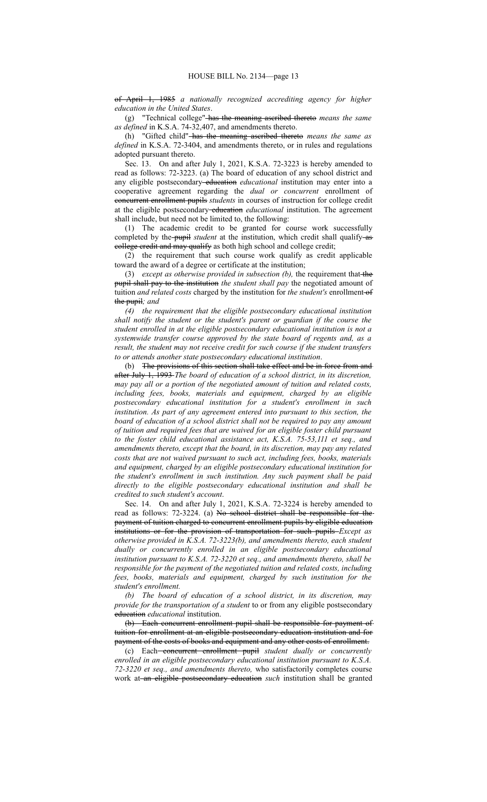of April 1, 1985 *a nationally recognized accrediting agency for higher education in the United States*.

(g) "Technical college" has the meaning ascribed thereto *means the same as defined* in K.S.A. 74-32,407, and amendments thereto.

(h) "Gifted child" has the meaning ascribed thereto *means the same as defined* in K.S.A. 72-3404, and amendments thereto, or in rules and regulations adopted pursuant thereto.

Sec. 13. On and after July 1, 2021, K.S.A. 72-3223 is hereby amended to read as follows: 72-3223. (a) The board of education of any school district and any eligible postsecondary education *educational* institution may enter into a cooperative agreement regarding the *dual or concurrent* enrollment of concurrent enrollment pupils *students* in courses of instruction for college credit at the eligible postsecondary-education *educational* institution. The agreement shall include, but need not be limited to, the following:

(1) The academic credit to be granted for course work successfully completed by the pupil *student* at the institution, which credit shall qualify as college credit and may qualify as both high school and college credit;

(2) the requirement that such course work qualify as credit applicable toward the award of a degree or certificate at the institution;

(3) *except as otherwise provided in subsection (b),* the requirement that the pupil shall pay to the institution *the student shall pay* the negotiated amount of tuition *and related costs* charged by the institution for *the student's* enrollment-of the pupil*; and*

*(4) the requirement that the eligible postsecondary educational institution shall notify the student or the student's parent or guardian if the course the student enrolled in at the eligible postsecondary educational institution is not a systemwide transfer course approved by the state board of regents and, as a result, the student may not receive credit for such course if the student transfers to or attends another state postsecondary educational institution*.

(b) The provisions of this section shall take effect and be in force from and after July 1, 1993 *The board of education of a school district, in its discretion, may pay all or a portion of the negotiated amount of tuition and related costs, including fees, books, materials and equipment, charged by an eligible postsecondary educational institution for a student's enrollment in such institution. As part of any agreement entered into pursuant to this section, the board of education of a school district shall not be required to pay any amount of tuition and required fees that are waived for an eligible foster child pursuant to the foster child educational assistance act, K.S.A. 75-53,111 et seq., and amendments thereto, except that the board, in its discretion, may pay any related costs that are not waived pursuant to such act, including fees, books, materials and equipment, charged by an eligible postsecondary educational institution for the student's enrollment in such institution. Any such payment shall be paid directly to the eligible postsecondary educational institution and shall be credited to such student's account*.

Sec. 14. On and after July 1, 2021, K.S.A. 72-3224 is hereby amended to read as follows: 72-3224. (a) No school district shall be responsible for the payment of tuition charged to concurrent enrollment pupils by eligible education institutions or for the provision of transportation for such pupils *Except as otherwise provided in K.S.A. 72-3223(b), and amendments thereto, each student dually or concurrently enrolled in an eligible postsecondary educational institution pursuant to K.S.A. 72-3220 et seq., and amendments thereto, shall be responsible for the payment of the negotiated tuition and related costs, including fees, books, materials and equipment, charged by such institution for the student's enrollment.*

*(b) The board of education of a school district, in its discretion, may provide for the transportation of a student* to or from any eligible postsecondary education *educational* institution.

(b) Each concurrent enrollment pupil shall be responsible for payment of tuition for enrollment at an eligible postsecondary education institution and for payment of the costs of books and equipment and any other costs of enrollment.

(c) Each concurrent enrollment pupil *student dually or concurrently enrolled in an eligible postsecondary educational institution pursuant to K.S.A. 72-3220 et seq., and amendments thereto,* who satisfactorily completes course work at an eligible postsecondary education *such* institution shall be granted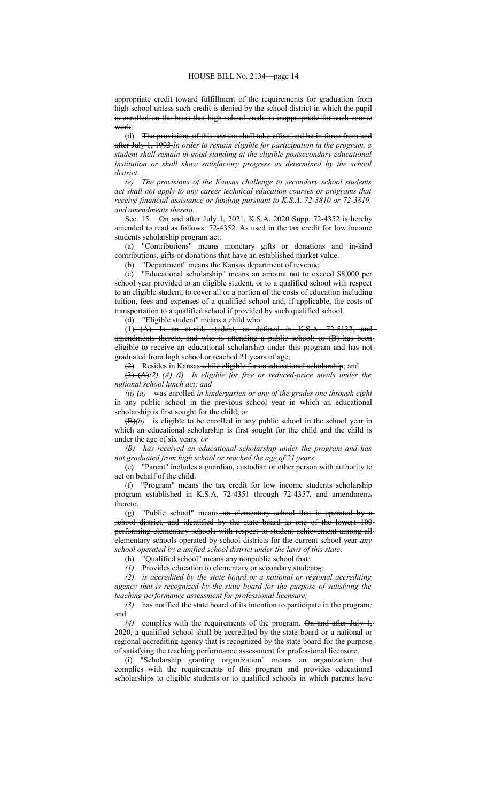appropriate credit toward fulfillment of the requirements for graduation from high school unless such credit is denied by the school district in which the pupil is enrolled on the basis that high school credit is inappropriate for such course work.

(d) The provisions of this section shall take effect and be in force from and after July 1, 1993 *In order to remain eligible for participation in the program, a student shall remain in good standing at the eligible postsecondary educational institution or shall show satisfactory progress as determined by the school district*.

*(e) The provisions of the Kansas challenge to secondary school students act shall not apply to any career technical education courses or programs that receive financial assistance or funding pursuant to K.S.A. 72-3810 or 72-3819, and amendments thereto.*

Sec. 15. On and after July 1, 2021, K.S.A. 2020 Supp. 72-4352 is hereby amended to read as follows: 72-4352. As used in the tax credit for low income students scholarship program act:

(a) "Contributions" means monetary gifts or donations and in-kind contributions, gifts or donations that have an established market value.

(b) "Department" means the Kansas department of revenue.

(c) "Educational scholarship" means an amount not to exceed \$8,000 per school year provided to an eligible student, or to a qualified school with respect to an eligible student, to cover all or a portion of the costs of education including tuition, fees and expenses of a qualified school and, if applicable, the costs of transportation to a qualified school if provided by such qualified school.

(d) "Eligible student" means a child who:

(1) (A) Is an at-risk student, as defined in K.S.A. 72-5132, and amendments thereto, and who is attending a public school; or (B) has beeneligible to receive an educational scholarship under this program and has not graduated from high school or reached 21 years of age;

(2) Resides in Kansas-while eligible for an educational scholarship; and

(3) (A)*(2) (A) (i) Is eligible for free or reduced-price meals under the national school lunch act; and*

*(ii) (a)* was enrolled *in kindergarten or any of the grades one through eight* in any public school in the previous school year in which an educational scholarship is first sought for the child; or

(B)*(b)* is eligible to be enrolled in any public school in the school year in which an educational scholarship is first sought for the child and the child is under the age of six years*; or*

*(B) has received an educational scholarship under the program and has not graduated from high school or reached the age of 21 years*.

(e) "Parent" includes a guardian, custodian or other person with authority to act on behalf of the child.

(f) "Program" means the tax credit for low income students scholarship program established in K.S.A. 72-4351 through 72-4357, and amendments thereto.

(g) "Public school" means-an-elementary school that is operated by a school district, and identified by the state board as one of the lowest 100performing elementary schools with respect to student achievement among all elementary schools operated by school districts for the current school year *any school operated by a unified school district under the laws of this state*.

(h) "Qualified school" means any nonpublic school that*:*

*(1)* Provides education to elementary or secondary students,*;*

*(2) is accredited by the state board or a national or regional accrediting agency that is recognized by the state board for the purpose of satisfying the teaching performance assessment for professional licensure;*

*(3)* has notified the state board of its intention to participate in the program*;* and

*(4)* complies with the requirements of the program. On and after July 1, 2020, a qualified school shall be accredited by the state board or a national or regional accrediting agency that is recognized by the state board for the purpose of satisfying the teaching performance assessment for professional licensure.

(i) "Scholarship granting organization" means an organization that complies with the requirements of this program and provides educational scholarships to eligible students or to qualified schools in which parents have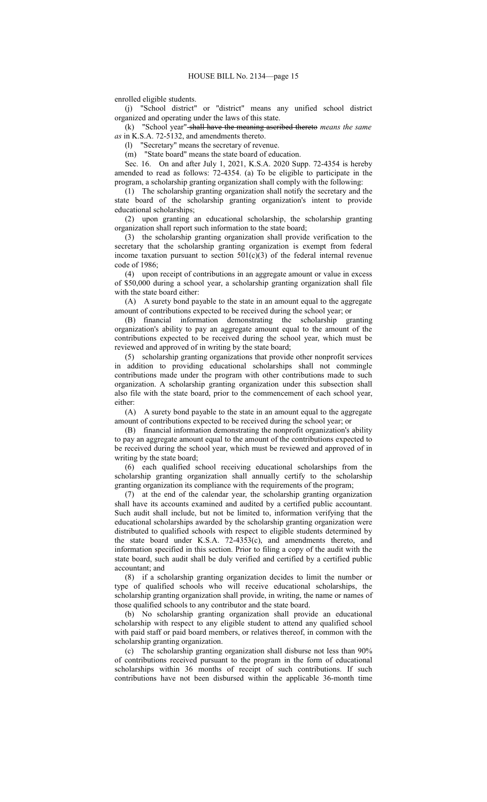enrolled eligible students.

(j) "School district" or "district" means any unified school district organized and operating under the laws of this state.

(k) "School year" shall have the meaning ascribed thereto *means the same as* in K.S.A. 72-5132, and amendments thereto.

(l) "Secretary" means the secretary of revenue.

(m) "State board" means the state board of education.

Sec. 16. On and after July 1, 2021, K.S.A. 2020 Supp. 72-4354 is hereby amended to read as follows: 72-4354. (a) To be eligible to participate in the program, a scholarship granting organization shall comply with the following:

(1) The scholarship granting organization shall notify the secretary and the state board of the scholarship granting organization's intent to provide educational scholarships;

(2) upon granting an educational scholarship, the scholarship granting organization shall report such information to the state board;

(3) the scholarship granting organization shall provide verification to the secretary that the scholarship granting organization is exempt from federal income taxation pursuant to section  $501(c)(3)$  of the federal internal revenue code of 1986;

(4) upon receipt of contributions in an aggregate amount or value in excess of \$50,000 during a school year, a scholarship granting organization shall file with the state board either:

(A) A surety bond payable to the state in an amount equal to the aggregate amount of contributions expected to be received during the school year; or

(B) financial information demonstrating the scholarship granting organization's ability to pay an aggregate amount equal to the amount of the contributions expected to be received during the school year, which must be reviewed and approved of in writing by the state board;

(5) scholarship granting organizations that provide other nonprofit services in addition to providing educational scholarships shall not commingle contributions made under the program with other contributions made to such organization. A scholarship granting organization under this subsection shall also file with the state board, prior to the commencement of each school year, either:

(A) A surety bond payable to the state in an amount equal to the aggregate amount of contributions expected to be received during the school year; or

(B) financial information demonstrating the nonprofit organization's ability to pay an aggregate amount equal to the amount of the contributions expected to be received during the school year, which must be reviewed and approved of in writing by the state board;

(6) each qualified school receiving educational scholarships from the scholarship granting organization shall annually certify to the scholarship granting organization its compliance with the requirements of the program;

(7) at the end of the calendar year, the scholarship granting organization shall have its accounts examined and audited by a certified public accountant. Such audit shall include, but not be limited to, information verifying that the educational scholarships awarded by the scholarship granting organization were distributed to qualified schools with respect to eligible students determined by the state board under K.S.A. 72-4353(c), and amendments thereto, and information specified in this section. Prior to filing a copy of the audit with the state board, such audit shall be duly verified and certified by a certified public accountant; and

(8) if a scholarship granting organization decides to limit the number or type of qualified schools who will receive educational scholarships, the scholarship granting organization shall provide, in writing, the name or names of those qualified schools to any contributor and the state board.

(b) No scholarship granting organization shall provide an educational scholarship with respect to any eligible student to attend any qualified school with paid staff or paid board members, or relatives thereof, in common with the scholarship granting organization.

(c) The scholarship granting organization shall disburse not less than 90% of contributions received pursuant to the program in the form of educational scholarships within 36 months of receipt of such contributions. If such contributions have not been disbursed within the applicable 36-month time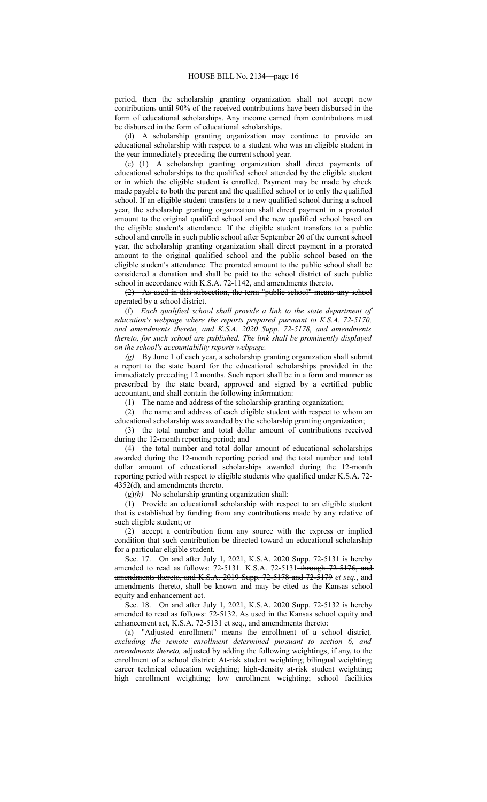period, then the scholarship granting organization shall not accept new contributions until 90% of the received contributions have been disbursed in the form of educational scholarships. Any income earned from contributions must be disbursed in the form of educational scholarships.

(d) A scholarship granting organization may continue to provide an educational scholarship with respect to a student who was an eligible student in the year immediately preceding the current school year.

 $(e)$  (e)  $(A)$  A scholarship granting organization shall direct payments of educational scholarships to the qualified school attended by the eligible student or in which the eligible student is enrolled. Payment may be made by check made payable to both the parent and the qualified school or to only the qualified school. If an eligible student transfers to a new qualified school during a school year, the scholarship granting organization shall direct payment in a prorated amount to the original qualified school and the new qualified school based on the eligible student's attendance. If the eligible student transfers to a public school and enrolls in such public school after September 20 of the current school year, the scholarship granting organization shall direct payment in a prorated amount to the original qualified school and the public school based on the eligible student's attendance. The prorated amount to the public school shall be considered a donation and shall be paid to the school district of such public school in accordance with K.S.A. 72-1142, and amendments thereto.

(2) As used in this subsection, the term "public school" means any school operated by a school district.

(f) *Each qualified school shall provide a link to the state department of education's webpage where the reports prepared pursuant to K.S.A. 72-5170, and amendments thereto, and K.S.A. 2020 Supp. 72-5178, and amendments thereto, for such school are published. The link shall be prominently displayed on the school's accountability reports webpage.*

*(g)* By June 1 of each year, a scholarship granting organization shall submit a report to the state board for the educational scholarships provided in the immediately preceding 12 months. Such report shall be in a form and manner as prescribed by the state board, approved and signed by a certified public accountant, and shall contain the following information:

(1) The name and address of the scholarship granting organization;

(2) the name and address of each eligible student with respect to whom an educational scholarship was awarded by the scholarship granting organization;

(3) the total number and total dollar amount of contributions received during the 12-month reporting period; and

(4) the total number and total dollar amount of educational scholarships awarded during the 12-month reporting period and the total number and total dollar amount of educational scholarships awarded during the 12-month reporting period with respect to eligible students who qualified under K.S.A. 72- 4352(d), and amendments thereto.

(g)*(h)* No scholarship granting organization shall:

(1) Provide an educational scholarship with respect to an eligible student that is established by funding from any contributions made by any relative of such eligible student; or

(2) accept a contribution from any source with the express or implied condition that such contribution be directed toward an educational scholarship for a particular eligible student.

Sec. 17. On and after July 1, 2021, K.S.A. 2020 Supp. 72-5131 is hereby amended to read as follows: 72-5131. K.S.A. 72-5131 through 72-5176, and amendments thereto, and K.S.A. 2019 Supp. 72-5178 and 72-5179 *et seq.*, and amendments thereto, shall be known and may be cited as the Kansas school equity and enhancement act.

Sec. 18. On and after July 1, 2021, K.S.A. 2020 Supp. 72-5132 is hereby amended to read as follows: 72-5132. As used in the Kansas school equity and enhancement act, K.S.A. 72-5131 et seq., and amendments thereto:

(a) "Adjusted enrollment" means the enrollment of a school district*, excluding the remote enrollment determined pursuant to section 6, and amendments thereto,* adjusted by adding the following weightings, if any, to the enrollment of a school district: At-risk student weighting; bilingual weighting; career technical education weighting; high-density at-risk student weighting; high enrollment weighting; low enrollment weighting; school facilities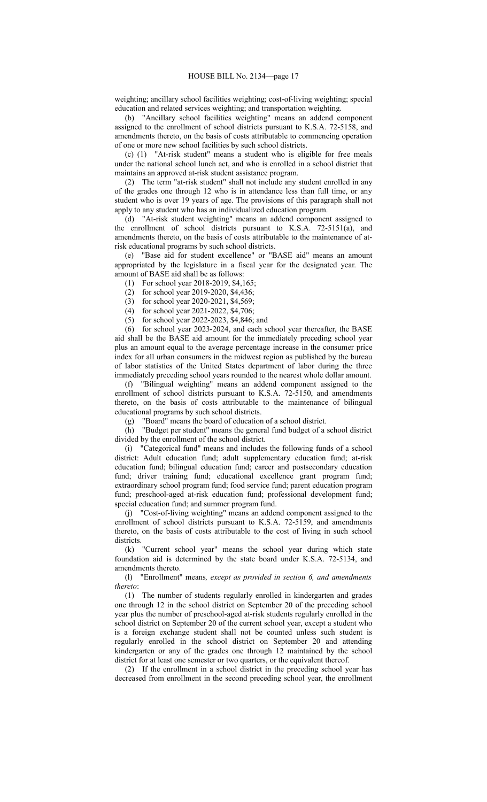weighting; ancillary school facilities weighting; cost-of-living weighting; special education and related services weighting; and transportation weighting.

(b) "Ancillary school facilities weighting" means an addend component assigned to the enrollment of school districts pursuant to K.S.A. 72-5158, and amendments thereto, on the basis of costs attributable to commencing operation of one or more new school facilities by such school districts.

(c) (1) "At-risk student" means a student who is eligible for free meals under the national school lunch act, and who is enrolled in a school district that maintains an approved at-risk student assistance program.

(2) The term "at-risk student" shall not include any student enrolled in any of the grades one through 12 who is in attendance less than full time, or any student who is over 19 years of age. The provisions of this paragraph shall not apply to any student who has an individualized education program.

(d) "At-risk student weighting" means an addend component assigned to the enrollment of school districts pursuant to K.S.A. 72-5151(a), and amendments thereto, on the basis of costs attributable to the maintenance of atrisk educational programs by such school districts.

(e) "Base aid for student excellence" or "BASE aid" means an amount appropriated by the legislature in a fiscal year for the designated year. The amount of BASE aid shall be as follows:

(1) For school year 2018-2019, \$4,165;

(2) for school year 2019-2020, \$4,436;

- (3) for school year 2020-2021, \$4,569;
- (4) for school year 2021-2022, \$4,706;
- (5) for school year 2022-2023, \$4,846; and

(6) for school year 2023-2024, and each school year thereafter, the BASE aid shall be the BASE aid amount for the immediately preceding school year plus an amount equal to the average percentage increase in the consumer price index for all urban consumers in the midwest region as published by the bureau of labor statistics of the United States department of labor during the three immediately preceding school years rounded to the nearest whole dollar amount.

(f) "Bilingual weighting" means an addend component assigned to the enrollment of school districts pursuant to K.S.A. 72-5150, and amendments thereto, on the basis of costs attributable to the maintenance of bilingual educational programs by such school districts.

(g) "Board" means the board of education of a school district.

(h) "Budget per student" means the general fund budget of a school district divided by the enrollment of the school district.

(i) "Categorical fund" means and includes the following funds of a school district: Adult education fund; adult supplementary education fund; at-risk education fund; bilingual education fund; career and postsecondary education fund; driver training fund; educational excellence grant program fund; extraordinary school program fund; food service fund; parent education program fund; preschool-aged at-risk education fund; professional development fund; special education fund; and summer program fund.

(j) "Cost-of-living weighting" means an addend component assigned to the enrollment of school districts pursuant to K.S.A. 72-5159, and amendments thereto, on the basis of costs attributable to the cost of living in such school districts.

(k) "Current school year" means the school year during which state foundation aid is determined by the state board under K.S.A. 72-5134, and amendments thereto.

(l) "Enrollment" means*, except as provided in section 6, and amendments thereto*:

(1) The number of students regularly enrolled in kindergarten and grades one through 12 in the school district on September 20 of the preceding school year plus the number of preschool-aged at-risk students regularly enrolled in the school district on September 20 of the current school year, except a student who is a foreign exchange student shall not be counted unless such student is regularly enrolled in the school district on September 20 and attending kindergarten or any of the grades one through 12 maintained by the school district for at least one semester or two quarters, or the equivalent thereof.

(2) If the enrollment in a school district in the preceding school year has decreased from enrollment in the second preceding school year, the enrollment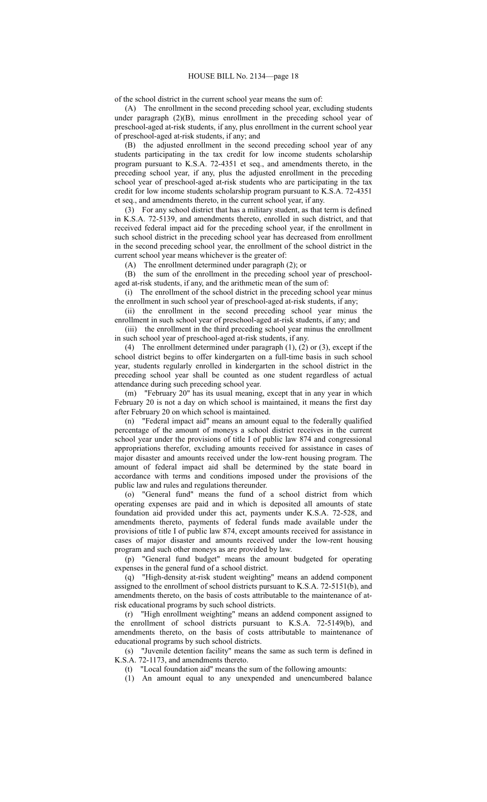of the school district in the current school year means the sum of:

(A) The enrollment in the second preceding school year, excluding students under paragraph  $(2)(B)$ , minus enrollment in the preceding school year of preschool-aged at-risk students, if any, plus enrollment in the current school year of preschool-aged at-risk students, if any; and

(B) the adjusted enrollment in the second preceding school year of any students participating in the tax credit for low income students scholarship program pursuant to K.S.A. 72-4351 et seq., and amendments thereto, in the preceding school year, if any, plus the adjusted enrollment in the preceding school year of preschool-aged at-risk students who are participating in the tax credit for low income students scholarship program pursuant to K.S.A. 72-4351 et seq., and amendments thereto, in the current school year, if any.

(3) For any school district that has a military student, as that term is defined in K.S.A. 72-5139, and amendments thereto, enrolled in such district, and that received federal impact aid for the preceding school year, if the enrollment in such school district in the preceding school year has decreased from enrollment in the second preceding school year, the enrollment of the school district in the current school year means whichever is the greater of:

(A) The enrollment determined under paragraph (2); or

(B) the sum of the enrollment in the preceding school year of preschoolaged at-risk students, if any, and the arithmetic mean of the sum of:

(i) The enrollment of the school district in the preceding school year minus the enrollment in such school year of preschool-aged at-risk students, if any;

(ii) the enrollment in the second preceding school year minus the enrollment in such school year of preschool-aged at-risk students, if any; and

(iii) the enrollment in the third preceding school year minus the enrollment in such school year of preschool-aged at-risk students, if any.

(4) The enrollment determined under paragraph (1), (2) or (3), except if the school district begins to offer kindergarten on a full-time basis in such school year, students regularly enrolled in kindergarten in the school district in the preceding school year shall be counted as one student regardless of actual attendance during such preceding school year.

(m) "February 20" has its usual meaning, except that in any year in which February 20 is not a day on which school is maintained, it means the first day after February 20 on which school is maintained.

(n) "Federal impact aid" means an amount equal to the federally qualified percentage of the amount of moneys a school district receives in the current school year under the provisions of title I of public law 874 and congressional appropriations therefor, excluding amounts received for assistance in cases of major disaster and amounts received under the low-rent housing program. The amount of federal impact aid shall be determined by the state board in accordance with terms and conditions imposed under the provisions of the public law and rules and regulations thereunder.

(o) "General fund" means the fund of a school district from which operating expenses are paid and in which is deposited all amounts of state foundation aid provided under this act, payments under K.S.A. 72-528, and amendments thereto, payments of federal funds made available under the provisions of title I of public law 874, except amounts received for assistance in cases of major disaster and amounts received under the low-rent housing program and such other moneys as are provided by law.

(p) "General fund budget" means the amount budgeted for operating expenses in the general fund of a school district.

(q) "High-density at-risk student weighting" means an addend component assigned to the enrollment of school districts pursuant to K.S.A. 72-5151(b), and amendments thereto, on the basis of costs attributable to the maintenance of atrisk educational programs by such school districts.

"High enrollment weighting" means an addend component assigned to the enrollment of school districts pursuant to K.S.A. 72-5149(b), and amendments thereto, on the basis of costs attributable to maintenance of educational programs by such school districts.

(s) "Juvenile detention facility" means the same as such term is defined in K.S.A. 72-1173, and amendments thereto.

(t) "Local foundation aid" means the sum of the following amounts:

(1) An amount equal to any unexpended and unencumbered balance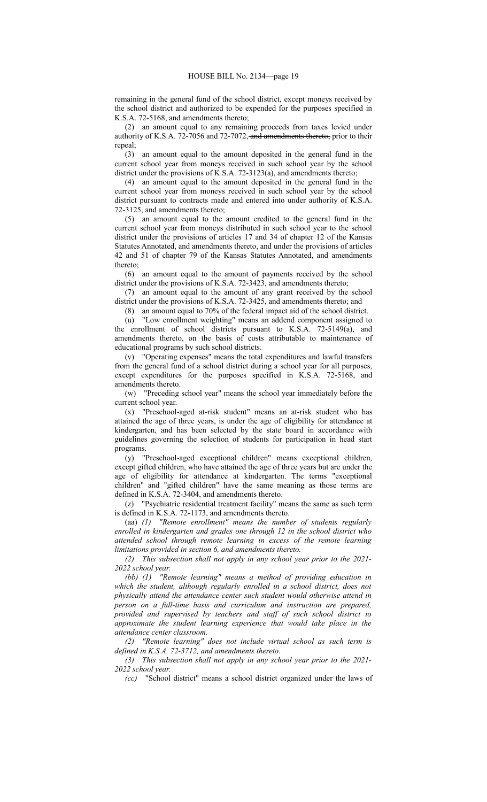remaining in the general fund of the school district, except moneys received by the school district and authorized to be expended for the purposes specified in K.S.A. 72-5168, and amendments thereto;

(2) an amount equal to any remaining proceeds from taxes levied under authority of K.S.A. 72-7056 and 72-7072, and amendments thereto, prior to their repeal;

(3) an amount equal to the amount deposited in the general fund in the current school year from moneys received in such school year by the school district under the provisions of K.S.A. 72-3123(a), and amendments thereto;

(4) an amount equal to the amount deposited in the general fund in the current school year from moneys received in such school year by the school district pursuant to contracts made and entered into under authority of K.S.A. 72-3125, and amendments thereto;

(5) an amount equal to the amount credited to the general fund in the current school year from moneys distributed in such school year to the school district under the provisions of articles 17 and 34 of chapter 12 of the Kansas Statutes Annotated, and amendments thereto, and under the provisions of articles 42 and 51 of chapter 79 of the Kansas Statutes Annotated, and amendments thereto;

(6) an amount equal to the amount of payments received by the school district under the provisions of K.S.A. 72-3423, and amendments thereto;

(7) an amount equal to the amount of any grant received by the school district under the provisions of K.S.A. 72-3425, and amendments thereto; and

(8) an amount equal to 70% of the federal impact aid of the school district.

(u) "Low enrollment weighting" means an addend component assigned to the enrollment of school districts pursuant to K.S.A. 72-5149(a), and amendments thereto, on the basis of costs attributable to maintenance of educational programs by such school districts.

(v) "Operating expenses" means the total expenditures and lawful transfers from the general fund of a school district during a school year for all purposes, except expenditures for the purposes specified in K.S.A. 72-5168, and amendments thereto.

(w) "Preceding school year" means the school year immediately before the current school year.

(x) "Preschool-aged at-risk student" means an at-risk student who has attained the age of three years, is under the age of eligibility for attendance at kindergarten, and has been selected by the state board in accordance with guidelines governing the selection of students for participation in head start programs.

(y) "Preschool-aged exceptional children" means exceptional children, except gifted children, who have attained the age of three years but are under the age of eligibility for attendance at kindergarten. The terms "exceptional children" and "gifted children" have the same meaning as those terms are defined in K.S.A. 72-3404, and amendments thereto.

(z) "Psychiatric residential treatment facility" means the same as such term is defined in K.S.A. 72-1173, and amendments thereto.

(aa) *(1) "Remote enrollment" means the number of students regularly enrolled in kindergarten and grades one through 12 in the school district who attended school through remote learning in excess of the remote learning limitations provided in section 6, and amendments thereto.*

*(2) This subsection shall not apply in any school year prior to the 2021- 2022 school year.*

*(bb) (1) "Remote learning" means a method of providing education in which the student, although regularly enrolled in a school district, does not physically attend the attendance center such student would otherwise attend in person on a full-time basis and curriculum and instruction are prepared, provided and supervised by teachers and staff of such school district to approximate the student learning experience that would take place in the attendance center classroom.*

*(2) "Remote learning" does not include virtual school as such term is defined in K.S.A. 72-3712, and amendments thereto.*

*(3) This subsection shall not apply in any school year prior to the 2021- 2022 school year.*

*(cc)* "School district" means a school district organized under the laws of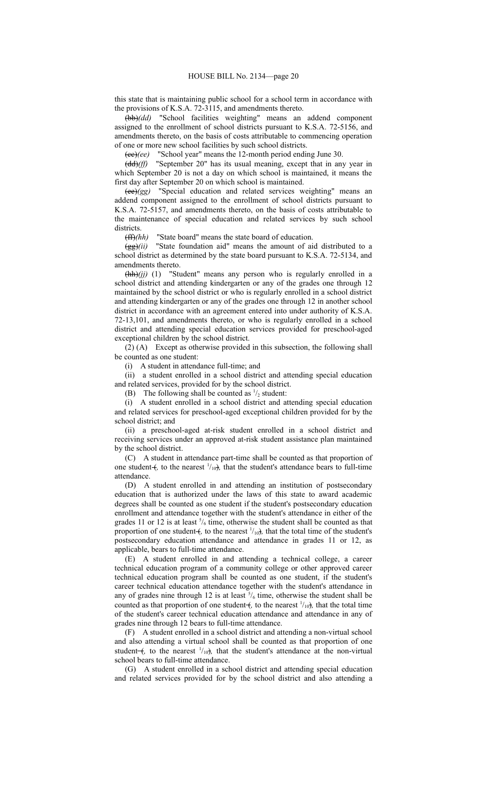this state that is maintaining public school for a school term in accordance with the provisions of K.S.A. 72-3115, and amendments thereto.

(bb)*(dd)* "School facilities weighting" means an addend component assigned to the enrollment of school districts pursuant to K.S.A. 72-5156, and amendments thereto, on the basis of costs attributable to commencing operation of one or more new school facilities by such school districts.

(cc)*(ee)* "School year" means the 12-month period ending June 30.

(dd)*(ff)* "September 20" has its usual meaning, except that in any year in which September 20 is not a day on which school is maintained, it means the first day after September 20 on which school is maintained.

(ee)*(gg)* "Special education and related services weighting" means an addend component assigned to the enrollment of school districts pursuant to K.S.A. 72-5157, and amendments thereto, on the basis of costs attributable to the maintenance of special education and related services by such school districts.

(ff)*(hh)* "State board" means the state board of education.

 $\frac{\pi}{2}$ (*ii*) "State foundation aid" means the amount of aid distributed to a school district as determined by the state board pursuant to K.S.A. 72-5134, and amendments thereto.

(hh)(jj) (1) "Student" means any person who is regularly enrolled in a school district and attending kindergarten or any of the grades one through 12 maintained by the school district or who is regularly enrolled in a school district and attending kindergarten or any of the grades one through 12 in another school district in accordance with an agreement entered into under authority of K.S.A. 72-13,101, and amendments thereto, or who is regularly enrolled in a school district and attending special education services provided for preschool-aged exceptional children by the school district.

(2) (A) Except as otherwise provided in this subsection, the following shall be counted as one student:

(i) A student in attendance full-time; and

(ii) a student enrolled in a school district and attending special education and related services, provided for by the school district.

(B) The following shall be counted as  $\frac{1}{2}$  student:

(i) A student enrolled in a school district and attending special education and related services for preschool-aged exceptional children provided for by the school district; and

(ii) a preschool-aged at-risk student enrolled in a school district and receiving services under an approved at-risk student assistance plan maintained by the school district.

(C) A student in attendance part-time shall be counted as that proportion of one student  $+$ , to the nearest  $\frac{1}{10}$ , that the student's attendance bears to full-time attendance.

(D) A student enrolled in and attending an institution of postsecondary education that is authorized under the laws of this state to award academic degrees shall be counted as one student if the student's postsecondary education enrollment and attendance together with the student's attendance in either of the grades 11 or 12 is at least  $\frac{5}{6}$  time, otherwise the student shall be counted as that proportion of one student  $+$ , to the nearest  $\frac{1}{10}$ , that the total time of the student's postsecondary education attendance and attendance in grades 11 or 12, as applicable, bears to full-time attendance.

(E) A student enrolled in and attending a technical college, a career technical education program of a community college or other approved career technical education program shall be counted as one student, if the student's career technical education attendance together with the student's attendance in any of grades nine through 12 is at least  $\frac{5}{6}$  time, otherwise the student shall be counted as that proportion of one student  $+$ , to the nearest  $\frac{1}{10}$ , that the total time of the student's career technical education attendance and attendance in any of grades nine through 12 bears to full-time attendance.

(F) A student enrolled in a school district and attending a non-virtual school and also attending a virtual school shall be counted as that proportion of one student– $\left($ , to the nearest  $\frac{1}{10}$ , that the student's attendance at the non-virtual school bears to full-time attendance.

(G) A student enrolled in a school district and attending special education and related services provided for by the school district and also attending a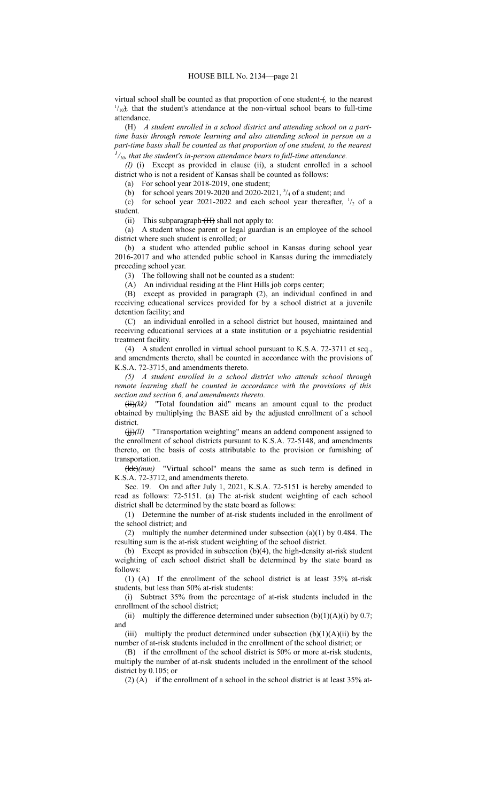virtual school shall be counted as that proportion of one student +, to the nearest  $1/10<sub>10</sub>$ , that the student's attendance at the non-virtual school bears to full-time attendance.

(H) *A student enrolled in a school district and attending school on a parttime basis through remote learning and also attending school in person on a part-time basis shall be counted as that proportion of one student, to the nearest 1 /10, that the student's in-person attendance bears to full-time attendance.*

*(I)* (i) Except as provided in clause (ii), a student enrolled in a school district who is not a resident of Kansas shall be counted as follows:

(a) For school year 2018-2019, one student;

(b) for school years 2019-2020 and 2020-2021,  $\frac{3}{4}$  of a student; and

(c) for school year 2021-2022 and each school year thereafter,  $\frac{1}{2}$  of a student.

(ii) This subparagraph  $(H)$  shall not apply to:

(a) A student whose parent or legal guardian is an employee of the school district where such student is enrolled; or

(b) a student who attended public school in Kansas during school year 2016-2017 and who attended public school in Kansas during the immediately preceding school year.

(3) The following shall not be counted as a student:

(A) An individual residing at the Flint Hills job corps center;

(B) except as provided in paragraph (2), an individual confined in and receiving educational services provided for by a school district at a juvenile detention facility; and

(C) an individual enrolled in a school district but housed, maintained and receiving educational services at a state institution or a psychiatric residential treatment facility.

(4) A student enrolled in virtual school pursuant to K.S.A. 72-3711 et seq., and amendments thereto, shall be counted in accordance with the provisions of K.S.A. 72-3715, and amendments thereto.

*(5) A student enrolled in a school district who attends school through remote learning shall be counted in accordance with the provisions of this section and section 6, and amendments thereto.*

(ii)*(kk)* "Total foundation aid" means an amount equal to the product obtained by multiplying the BASE aid by the adjusted enrollment of a school district.

(jj)*(ll)* "Transportation weighting" means an addend component assigned to the enrollment of school districts pursuant to K.S.A. 72-5148, and amendments thereto, on the basis of costs attributable to the provision or furnishing of transportation.

(kk)*(mm)* "Virtual school" means the same as such term is defined in K.S.A. 72-3712, and amendments thereto.

Sec. 19. On and after July 1, 2021, K.S.A. 72-5151 is hereby amended to read as follows: 72-5151. (a) The at-risk student weighting of each school district shall be determined by the state board as follows:

(1) Determine the number of at-risk students included in the enrollment of the school district; and

(2) multiply the number determined under subsection (a)(1) by 0.484. The resulting sum is the at-risk student weighting of the school district.

(b) Except as provided in subsection (b)(4), the high-density at-risk student weighting of each school district shall be determined by the state board as follows:

(1) (A) If the enrollment of the school district is at least 35% at-risk students, but less than 50% at-risk students:

(i) Subtract 35% from the percentage of at-risk students included in the enrollment of the school district;

(ii) multiply the difference determined under subsection  $(b)(1)(A)(i)$  by 0.7; and

(iii) multiply the product determined under subsection  $(b)(1)(A)(ii)$  by the number of at-risk students included in the enrollment of the school district; or

(B) if the enrollment of the school district is 50% or more at-risk students, multiply the number of at-risk students included in the enrollment of the school district by 0.105; or

(2) (A) if the enrollment of a school in the school district is at least 35% at-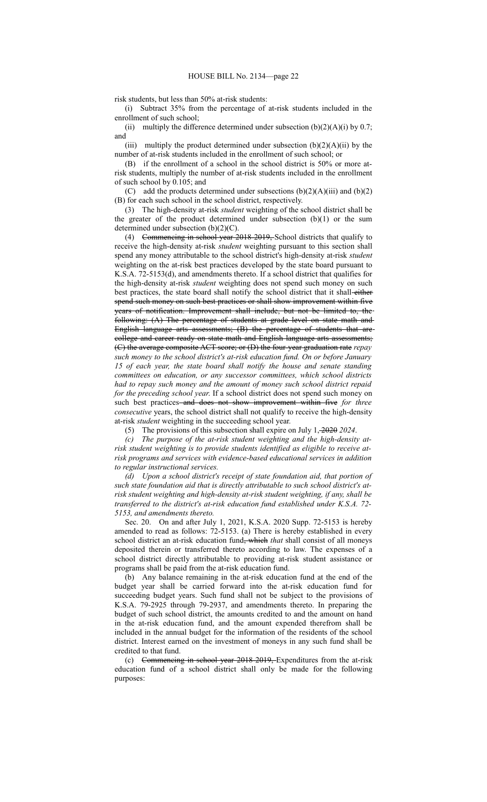risk students, but less than 50% at-risk students:

(i) Subtract 35% from the percentage of at-risk students included in the enrollment of such school;

(ii) multiply the difference determined under subsection  $(b)(2)(A)(i)$  by 0.7; and

(iii) multiply the product determined under subsection  $(b)(2)(A)(ii)$  by the number of at-risk students included in the enrollment of such school; or

(B) if the enrollment of a school in the school district is 50% or more atrisk students, multiply the number of at-risk students included in the enrollment of such school by 0.105; and

(C) add the products determined under subsections  $(b)(2)(A)(iii)$  and  $(b)(2)$ (B) for each such school in the school district, respectively.

(3) The high-density at-risk *student* weighting of the school district shall be the greater of the product determined under subsection (b)(1) or the sum determined under subsection (b)(2)(C).

(4) Commencing in school year 2018-2019, School districts that qualify to receive the high-density at-risk *student* weighting pursuant to this section shall spend any money attributable to the school district's high-density at-risk *student* weighting on the at-risk best practices developed by the state board pursuant to K.S.A. 72-5153(d), and amendments thereto. If a school district that qualifies for the high-density at-risk *student* weighting does not spend such money on such best practices, the state board shall notify the school district that it shall-either spend such money on such best practices or shall show improvement within five years of notification. Improvement shall include, but not be limited to, the following: (A) The percentage of students at grade level on state math and English language arts assessments; (B) the percentage of students that are college and career ready on state math and English language arts assessments; (C) the average composite ACT score; or (D) the four-year graduation rate *repay such money to the school district's at-risk education fund. On or before January 15 of each year, the state board shall notify the house and senate standing committees on education, or any successor committees, which school districts had to repay such money and the amount of money such school district repaid for the preceding school year*. If a school district does not spend such money on such best practices and does not show improvement within five *for three consecutive* years, the school district shall not qualify to receive the high-density at-risk *student* weighting in the succeeding school year.

(5) The provisions of this subsection shall expire on July 1, 2020 *2024*.

*(c) The purpose of the at-risk student weighting and the high-density atrisk student weighting is to provide students identified as eligible to receive atrisk programs and services with evidence-based educational services in addition to regular instructional services.*

*(d) Upon a school district's receipt of state foundation aid, that portion of such state foundation aid that is directly attributable to such school district's atrisk student weighting and high-density at-risk student weighting, if any, shall be transferred to the district's at-risk education fund established under K.S.A. 72- 5153, and amendments thereto.*

Sec. 20. On and after July 1, 2021, K.S.A. 2020 Supp. 72-5153 is hereby amended to read as follows: 72-5153. (a) There is hereby established in every school district an at-risk education fund, which *that* shall consist of all moneys deposited therein or transferred thereto according to law. The expenses of a school district directly attributable to providing at-risk student assistance or programs shall be paid from the at-risk education fund.

(b) Any balance remaining in the at-risk education fund at the end of the budget year shall be carried forward into the at-risk education fund for succeeding budget years. Such fund shall not be subject to the provisions of K.S.A. 79-2925 through 79-2937, and amendments thereto. In preparing the budget of such school district, the amounts credited to and the amount on hand in the at-risk education fund, and the amount expended therefrom shall be included in the annual budget for the information of the residents of the school district. Interest earned on the investment of moneys in any such fund shall be credited to that fund.

(c) Commencing in school year 2018-2019, Expenditures from the at-risk education fund of a school district shall only be made for the following purposes: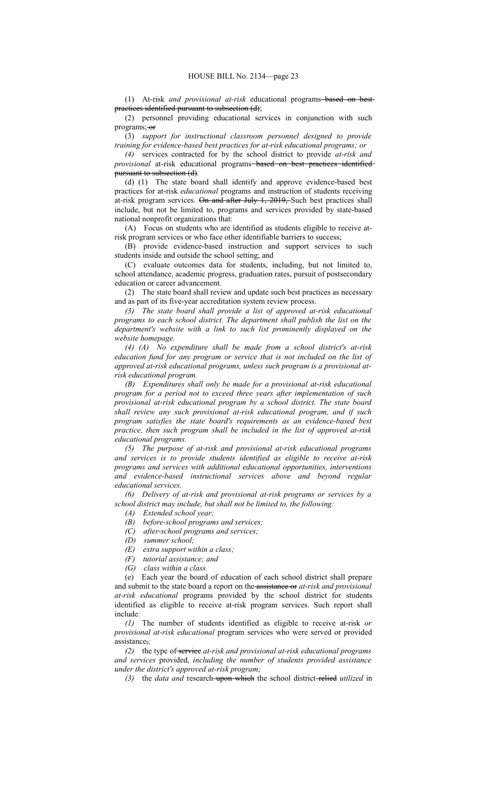(1) At-risk *and provisional at-risk* educational programs based on best practices identified pursuant to subsection (d);

(2) personnel providing educational services in conjunction with such programs;-or

(3) *support for instructional classroom personnel designed to provide training for evidence-based best practices for at-risk educational programs; or*

*(4)* services contracted for by the school district to provide *at-risk and provisional* at-risk educational programs based on best practices identified pursuant to subsection (d).

(d) (1) The state board shall identify and approve evidence-based best practices for at-risk *educational* programs and instruction of students receiving at-risk program services. On and after July 1, 2019, Such best practices shall include, but not be limited to, programs and services provided by state-based national nonprofit organizations that:

(A) Focus on students who are identified as students eligible to receive atrisk program services or who face other identifiable barriers to success;

(B) provide evidence-based instruction and support services to such students inside and outside the school setting; and

(C) evaluate outcomes data for students, including, but not limited to, school attendance, academic progress, graduation rates, pursuit of postsecondary education or career advancement.

(2) The state board shall review and update such best practices as necessary and as part of its five-year accreditation system review process.

*(3) The state board shall provide a list of approved at-risk educational programs to each school district. The department shall publish the list on the department's website with a link to such list prominently displayed on the website homepage.*

*(4) (A) No expenditure shall be made from a school district's at-risk education fund for any program or service that is not included on the list of approved at-risk educational programs, unless such program is a provisional atrisk educational program.*

*(B) Expenditures shall only be made for a provisional at-risk educational program for a period not to exceed three years after implementation of such provisional at-risk educational program by a school district. The state board shall review any such provisional at-risk educational program, and if such program satisfies the state board's requirements as an evidence-based best practice, then such program shall be included in the list of approved at-risk educational programs.*

*(5) The purpose of at-risk and provisional at-risk educational programs and services is to provide students identified as eligible to receive at-risk programs and services with additional educational opportunities, interventions and evidence-based instructional services above and beyond regular educational services.*

*(6) Delivery of at-risk and provisional at-risk programs or services by a school district may include, but shall not be limited to, the following:*

*(A) Extended school year;*

*(B) before-school programs and services;*

*(C) after-school programs and services;*

*(D) summer school;*

- *(E) extra support within a class;*
- *(F) tutorial assistance; and*
- *(G) class within a class.*

(e) Each year the board of education of each school district shall prepare and submit to the state board a report on the assistance or *at-risk and provisional at-risk educational* programs provided by the school district for students identified as eligible to receive at-risk program services. Such report shall include*:*

*(1)* The number of students identified as eligible to receive at-risk *or provisional at-risk educational* program services who were served or provided assistance,*;*

*(2)* the type of service *at-risk and provisional at-risk educational programs and services* provided, *including the number of students provided assistance under the district's approved at-risk program;*

*(3)* the *data and* research upon which the school district relied *utilized* in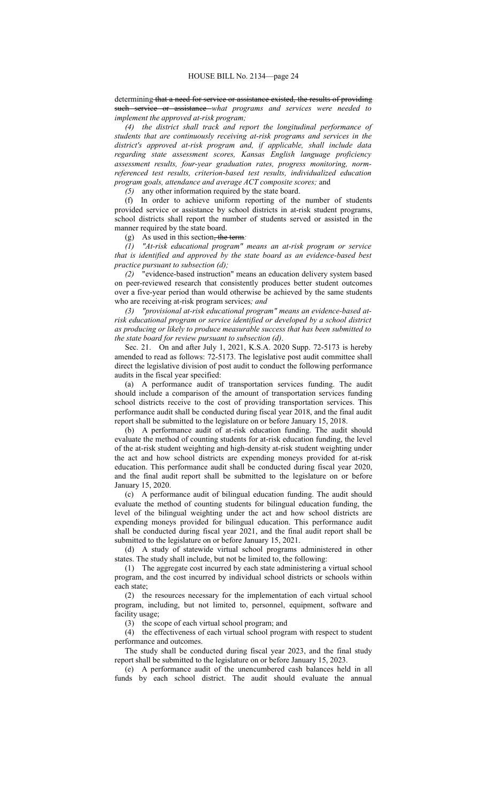determining that a need for service or assistance existed, the results of providing such service or assistance *what programs and services were needed to implement the approved at-risk program;*

*(4) the district shall track and report the longitudinal performance of students that are continuously receiving at-risk programs and services in the district's approved at-risk program and, if applicable, shall include data regarding state assessment scores, Kansas English language proficiency assessment results, four-year graduation rates, progress monitoring, normreferenced test results, criterion-based test results, individualized education program goals, attendance and average ACT composite scores;* and

*(5)* any other information required by the state board.

(f) In order to achieve uniform reporting of the number of students provided service or assistance by school districts in at-risk student programs, school districts shall report the number of students served or assisted in the manner required by the state board.

(g) As used in this section, the term*:*

*(1) "At-risk educational program" means an at-risk program or service that is identified and approved by the state board as an evidence-based best practice pursuant to subsection (d);*

*(2)* "evidence-based instruction" means an education delivery system based on peer-reviewed research that consistently produces better student outcomes over a five-year period than would otherwise be achieved by the same students who are receiving at-risk program services*; and*

*(3) "provisional at-risk educational program" means an evidence-based atrisk educational program or service identified or developed by a school district as producing or likely to produce measurable success that has been submitted to the state board for review pursuant to subsection (d)*.

Sec. 21. On and after July 1, 2021, K.S.A. 2020 Supp. 72-5173 is hereby amended to read as follows: 72-5173. The legislative post audit committee shall direct the legislative division of post audit to conduct the following performance audits in the fiscal year specified:

(a) A performance audit of transportation services funding. The audit should include a comparison of the amount of transportation services funding school districts receive to the cost of providing transportation services. This performance audit shall be conducted during fiscal year 2018, and the final audit report shall be submitted to the legislature on or before January 15, 2018.

(b) A performance audit of at-risk education funding. The audit should evaluate the method of counting students for at-risk education funding, the level of the at-risk student weighting and high-density at-risk student weighting under the act and how school districts are expending moneys provided for at-risk education. This performance audit shall be conducted during fiscal year 2020, and the final audit report shall be submitted to the legislature on or before January 15, 2020.

(c) A performance audit of bilingual education funding. The audit should evaluate the method of counting students for bilingual education funding, the level of the bilingual weighting under the act and how school districts are expending moneys provided for bilingual education. This performance audit shall be conducted during fiscal year 2021, and the final audit report shall be submitted to the legislature on or before January 15, 2021.

(d) A study of statewide virtual school programs administered in other states. The study shall include, but not be limited to, the following:

(1) The aggregate cost incurred by each state administering a virtual school program, and the cost incurred by individual school districts or schools within each state;

(2) the resources necessary for the implementation of each virtual school program, including, but not limited to, personnel, equipment, software and facility usage;

(3) the scope of each virtual school program; and

(4) the effectiveness of each virtual school program with respect to student performance and outcomes.

The study shall be conducted during fiscal year 2023, and the final study report shall be submitted to the legislature on or before January 15, 2023.

(e) A performance audit of the unencumbered cash balances held in all funds by each school district. The audit should evaluate the annual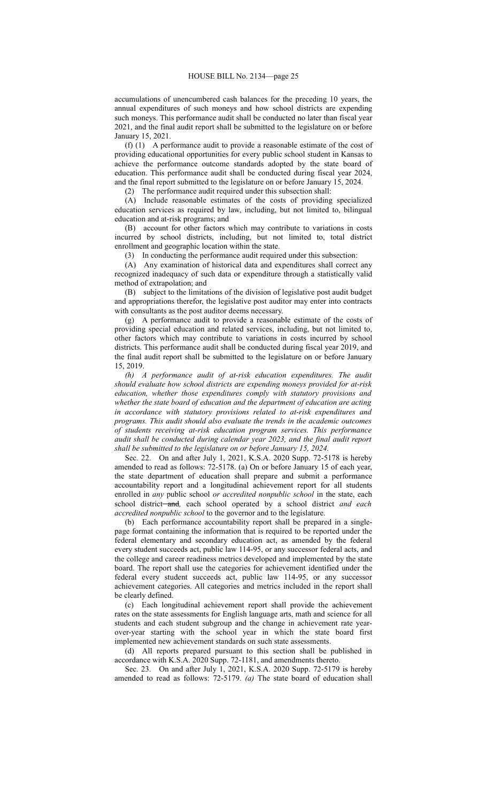accumulations of unencumbered cash balances for the preceding 10 years, the annual expenditures of such moneys and how school districts are expending such moneys. This performance audit shall be conducted no later than fiscal year 2021, and the final audit report shall be submitted to the legislature on or before January 15, 2021.

(f) (1) A performance audit to provide a reasonable estimate of the cost of providing educational opportunities for every public school student in Kansas to achieve the performance outcome standards adopted by the state board of education. This performance audit shall be conducted during fiscal year 2024, and the final report submitted to the legislature on or before January 15, 2024.

(2) The performance audit required under this subsection shall:

(A) Include reasonable estimates of the costs of providing specialized education services as required by law, including, but not limited to, bilingual education and at-risk programs; and

(B) account for other factors which may contribute to variations in costs incurred by school districts, including, but not limited to, total district enrollment and geographic location within the state.

(3) In conducting the performance audit required under this subsection:

(A) Any examination of historical data and expenditures shall correct any recognized inadequacy of such data or expenditure through a statistically valid method of extrapolation; and

(B) subject to the limitations of the division of legislative post audit budget and appropriations therefor, the legislative post auditor may enter into contracts with consultants as the post auditor deems necessary.

(g) A performance audit to provide a reasonable estimate of the costs of providing special education and related services, including, but not limited to, other factors which may contribute to variations in costs incurred by school districts. This performance audit shall be conducted during fiscal year 2019, and the final audit report shall be submitted to the legislature on or before January 15, 2019.

*(h) A performance audit of at-risk education expenditures. The audit should evaluate how school districts are expending moneys provided for at-risk education, whether those expenditures comply with statutory provisions and whether the state board of education and the department of education are acting in accordance with statutory provisions related to at-risk expenditures and programs. This audit should also evaluate the trends in the academic outcomes of students receiving at-risk education program services. This performance audit shall be conducted during calendar year 2023, and the final audit report shall be submitted to the legislature on or before January 15, 2024.*

Sec. 22. On and after July 1, 2021, K.S.A. 2020 Supp. 72-5178 is hereby amended to read as follows: 72-5178. (a) On or before January 15 of each year, the state department of education shall prepare and submit a performance accountability report and a longitudinal achievement report for all students enrolled in *any* public school *or accredited nonpublic school* in the state, each school district and*,* each school operated by a school district *and each accredited nonpublic school* to the governor and to the legislature.

(b) Each performance accountability report shall be prepared in a singlepage format containing the information that is required to be reported under the federal elementary and secondary education act, as amended by the federal every student succeeds act, public law 114-95, or any successor federal acts, and the college and career readiness metrics developed and implemented by the state board. The report shall use the categories for achievement identified under the federal every student succeeds act, public law 114-95, or any successor achievement categories. All categories and metrics included in the report shall be clearly defined.

(c) Each longitudinal achievement report shall provide the achievement rates on the state assessments for English language arts, math and science for all students and each student subgroup and the change in achievement rate yearover-year starting with the school year in which the state board first implemented new achievement standards on such state assessments.

(d) All reports prepared pursuant to this section shall be published in accordance with K.S.A. 2020 Supp. 72-1181, and amendments thereto.

Sec. 23. On and after July 1, 2021, K.S.A. 2020 Supp. 72-5179 is hereby amended to read as follows: 72-5179. *(a)* The state board of education shall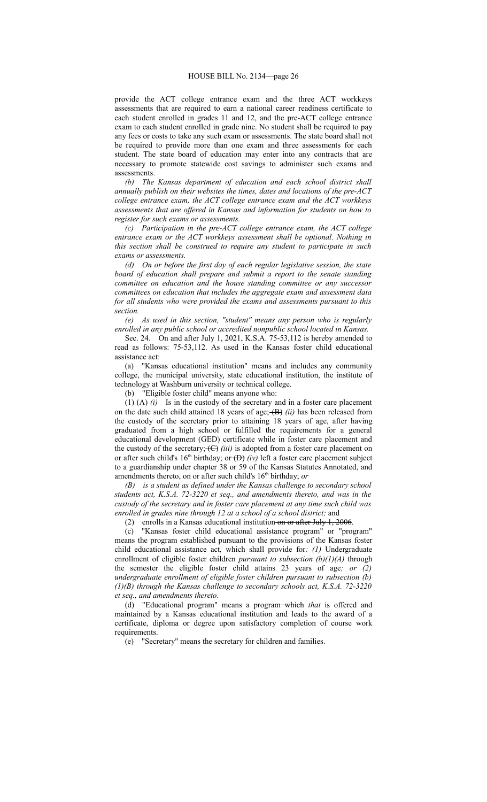provide the ACT college entrance exam and the three ACT workkeys assessments that are required to earn a national career readiness certificate to each student enrolled in grades 11 and 12, and the pre-ACT college entrance exam to each student enrolled in grade nine. No student shall be required to pay any fees or costs to take any such exam or assessments. The state board shall not be required to provide more than one exam and three assessments for each student. The state board of education may enter into any contracts that are necessary to promote statewide cost savings to administer such exams and assessments.

*(b) The Kansas department of education and each school district shall annually publish on their websites the times, dates and locations of the pre-ACT college entrance exam, the ACT college entrance exam and the ACT workkeys assessments that are offered in Kansas and information for students on how to register for such exams or assessments.*

*(c) Participation in the pre-ACT college entrance exam, the ACT college entrance exam or the ACT workkeys assessment shall be optional. Nothing in this section shall be construed to require any student to participate in such exams or assessments.*

*(d) On or before the first day of each regular legislative session, the state board of education shall prepare and submit a report to the senate standing committee on education and the house standing committee or any successor committees on education that includes the aggregate exam and assessment data for all students who were provided the exams and assessments pursuant to this section.*

*(e) As used in this section, "student" means any person who is regularly enrolled in any public school or accredited nonpublic school located in Kansas.*

Sec. 24. On and after July 1, 2021, K.S.A. 75-53,112 is hereby amended to read as follows: 75-53,112. As used in the Kansas foster child educational assistance act:

(a) "Kansas educational institution" means and includes any community college, the municipal university, state educational institution, the institute of technology at Washburn university or technical college.

(b) "Eligible foster child" means anyone who:

(1) (A) *(i)* Is in the custody of the secretary and in a foster care placement on the date such child attained 18 years of age; (B) *(ii)* has been released from the custody of the secretary prior to attaining 18 years of age, after having graduated from a high school or fulfilled the requirements for a general educational development (GED) certificate while in foster care placement and the custody of the secretary; (C) *(iii)* is adopted from a foster care placement on or after such child's  $16<sup>th</sup>$  birthday; or  $(D)$  *(iv)* left a foster care placement subject to a guardianship under chapter 38 or 59 of the Kansas Statutes Annotated, and amendments thereto, on or after such child's 16<sup>th</sup> birthday; or

*(B) is a student as defined under the Kansas challenge to secondary school students act, K.S.A. 72-3220 et seq., and amendments thereto, and was in the custody of the secretary and in foster care placement at any time such child was enrolled in grades nine through 12 at a school of a school district;* and

(2) enrolls in a Kansas educational institution on or after July 1, 2006.

(c) "Kansas foster child educational assistance program" or "program" means the program established pursuant to the provisions of the Kansas foster child educational assistance act*,* which shall provide for*: (1)* Undergraduate enrollment of eligible foster children *pursuant to subsection (b)(1)(A)* through the semester the eligible foster child attains 23 years of age*; or (2) undergraduate enrollment of eligible foster children pursuant to subsection (b) (1)(B) through the Kansas challenge to secondary schools act, K.S.A. 72-3220 et seq., and amendments thereto*.

(d) "Educational program" means a program which *that* is offered and maintained by a Kansas educational institution and leads to the award of a certificate, diploma or degree upon satisfactory completion of course work requirements.

(e) "Secretary" means the secretary for children and families.